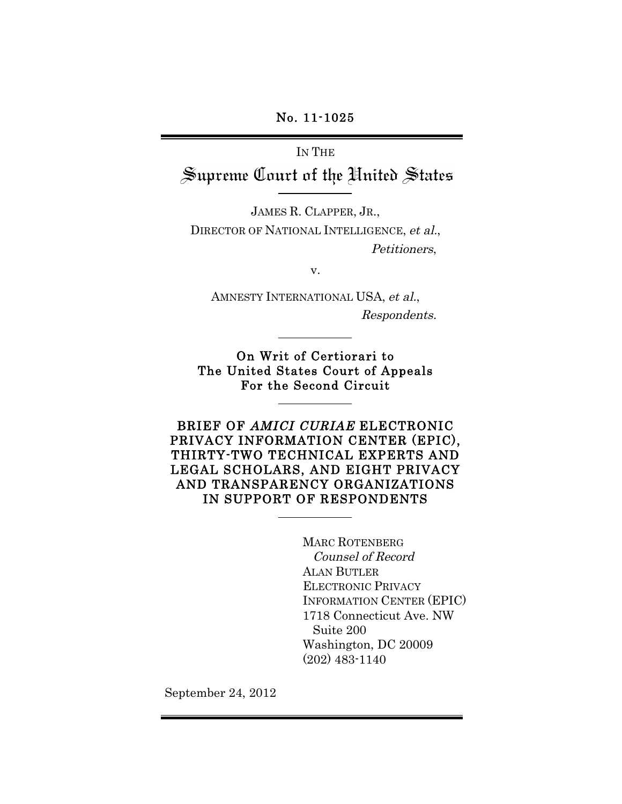## No. 11-1025

# IN THE Supreme Court of the United States

JAMES R. CLAPPER, JR., DIRECTOR OF NATIONAL INTELLIGENCE, et al., Petitioners,

v.

AMNESTY INTERNATIONAL USA, et al., Respondents.

On Writ of Certiorari to The United States Court of Appeals For the Second Circuit

BRIEF OF AMICI CURIAE ELECTRONIC PRIVACY INFORMATION CENTER (EPIC), THIRTY-TWO TECHNICAL EXPERTS AND LEGAL SCHOLARS, AND EIGHT PRIVACY AND TRANSPARENCY ORGANIZATIONS IN SUPPORT OF RESPONDENTS

> MARC ROTENBERG Counsel of Record ALAN BUTLER ELECTRONIC PRIVACY INFORMATION CENTER (EPIC) 1718 Connecticut Ave. NW Suite 200 Washington, DC 20009 (202) 483-1140

September 24, 2012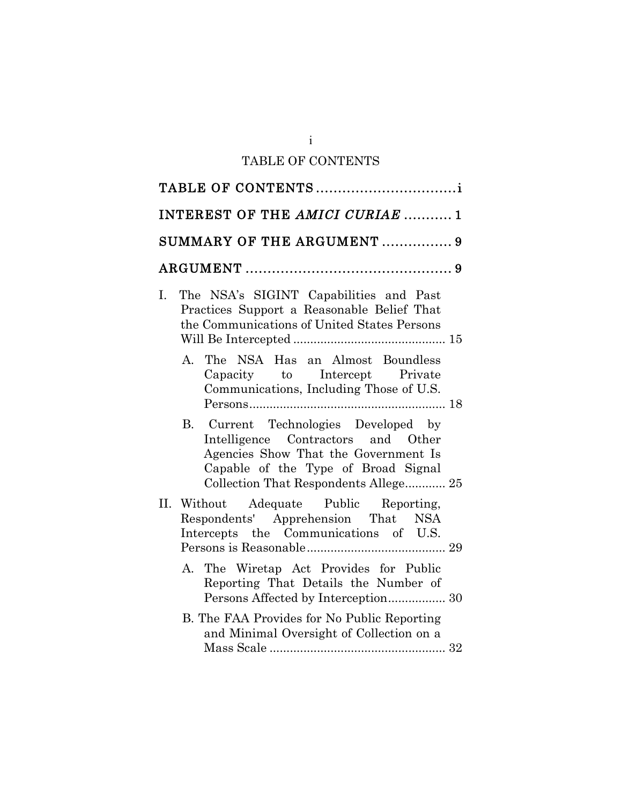# TABLE OF CONTENTS

| INTEREST OF THE AMICI CURIAE  1                                                                                                                                                                    |
|----------------------------------------------------------------------------------------------------------------------------------------------------------------------------------------------------|
| SUMMARY OF THE ARGUMENT  9                                                                                                                                                                         |
|                                                                                                                                                                                                    |
| The NSA's SIGINT Capabilities and Past<br>I.<br>Practices Support a Reasonable Belief That<br>the Communications of United States Persons                                                          |
| A. The NSA Has an Almost Boundless<br>Capacity to Intercept Private<br>Communications, Including Those of U.S.                                                                                     |
| B. Current Technologies Developed by<br>Intelligence Contractors and Other<br>Agencies Show That the Government Is<br>Capable of the Type of Broad Signal<br>Collection That Respondents Allege 25 |
| II. Without Adequate Public Reporting,<br>Respondents' Apprehension That NSA<br>Intercepts the Communications of U.S.                                                                              |
| A. The Wiretap Act Provides for Public<br>Reporting That Details the Number of                                                                                                                     |
| B. The FAA Provides for No Public Reporting<br>and Minimal Oversight of Collection on a                                                                                                            |

i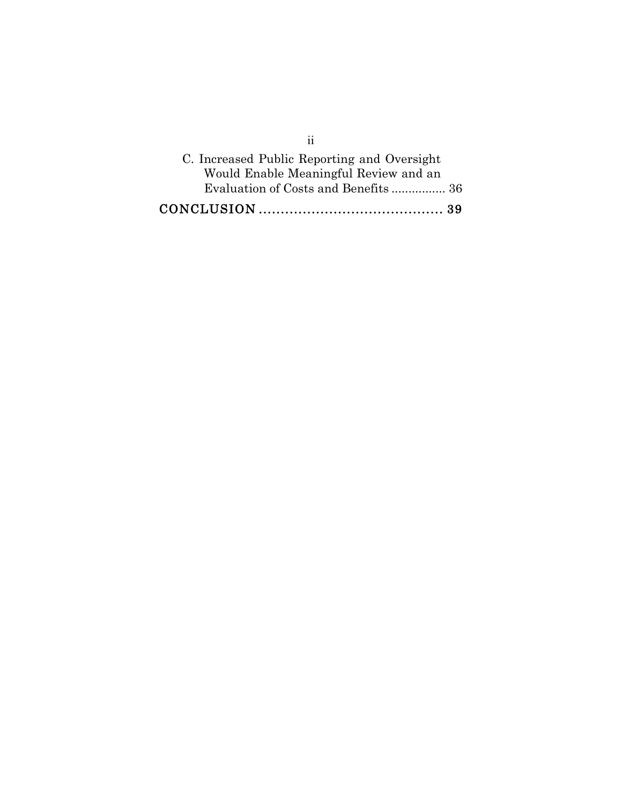| 11                                          |  |
|---------------------------------------------|--|
| C. Increased Public Reporting and Oversight |  |
| Would Enable Meaningful Review and an       |  |
|                                             |  |
|                                             |  |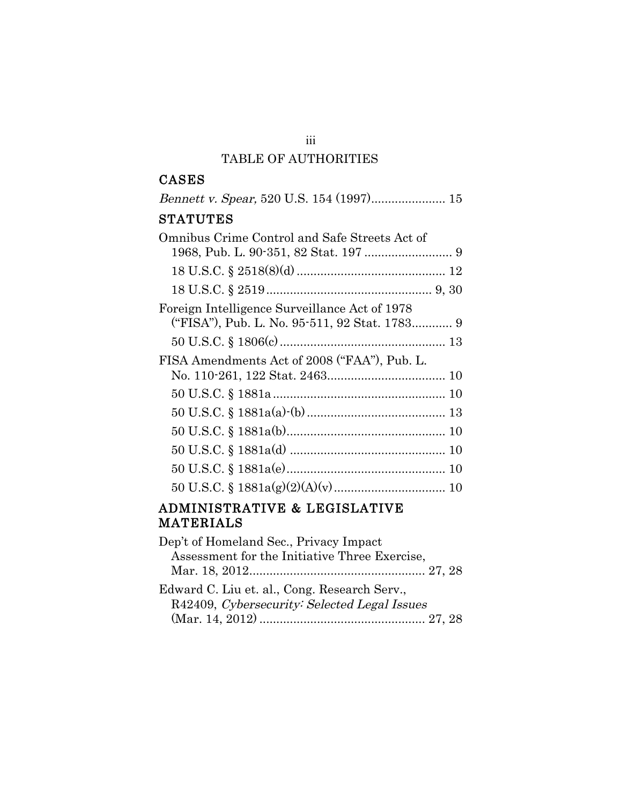## TABLE OF AUTHORITIES

## CASES

| <b>STATUTES</b>                                                                                |
|------------------------------------------------------------------------------------------------|
| Omnibus Crime Control and Safe Streets Act of                                                  |
|                                                                                                |
|                                                                                                |
| Foreign Intelligence Surveillance Act of 1978<br>("FISA"), Pub. L. No. 95-511, 92 Stat. 1783 9 |
|                                                                                                |
| FISA Amendments Act of 2008 ("FAA"), Pub. L.                                                   |
|                                                                                                |
|                                                                                                |
|                                                                                                |
|                                                                                                |
|                                                                                                |
|                                                                                                |
|                                                                                                |
|                                                                                                |

# ADMINISTRATIVE & LEGISLATIVE MATERIALS

| Dep't of Homeland Sec., Privacy Impact        |  |
|-----------------------------------------------|--|
| Assessment for the Initiative Three Exercise, |  |
|                                               |  |
| Edward C. Liu et. al., Cong. Research Serv.,  |  |
| R42409, Cybersecurity: Selected Legal Issues  |  |
|                                               |  |

iii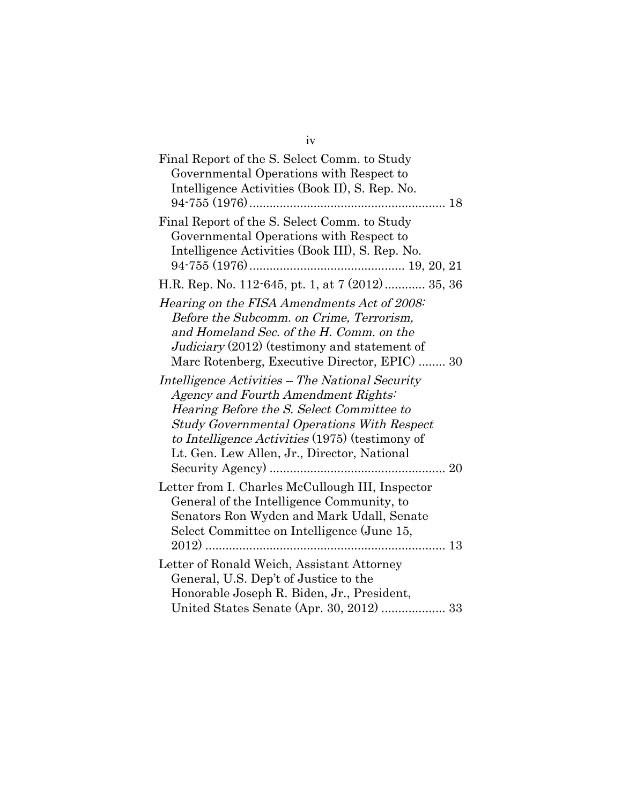| Final Report of the S. Select Comm. to Study<br>Governmental Operations with Respect to<br>Intelligence Activities (Book II), S. Rep. No.                                                                                                                                                                                                                                                                                                                                                                                          |  |
|------------------------------------------------------------------------------------------------------------------------------------------------------------------------------------------------------------------------------------------------------------------------------------------------------------------------------------------------------------------------------------------------------------------------------------------------------------------------------------------------------------------------------------|--|
| Final Report of the S. Select Comm. to Study<br>Governmental Operations with Respect to<br>Intelligence Activities (Book III), S. Rep. No.                                                                                                                                                                                                                                                                                                                                                                                         |  |
| H.R. Rep. No. 112-645, pt. 1, at 7 (2012)  35, 36                                                                                                                                                                                                                                                                                                                                                                                                                                                                                  |  |
| Hearing on the FISA Amendments Act of 2008:<br>Before the Subcomm. on Crime, Terrorism,<br>and Homeland Sec. of the H. Comm. on the<br>Judiciary (2012) (testimony and statement of<br>Marc Rotenberg, Executive Director, EPIC)  30<br>Intelligence Activities – The National Security<br>Agency and Fourth Amendment Rights:<br>Hearing Before the S. Select Committee to<br><b>Study Governmental Operations With Respect</b><br>to Intelligence Activities (1975) (testimony of<br>Lt. Gen. Lew Allen, Jr., Director, National |  |
| Letter from I. Charles McCullough III, Inspector<br>General of the Intelligence Community, to<br>Senators Ron Wyden and Mark Udall, Senate<br>Select Committee on Intelligence (June 15,                                                                                                                                                                                                                                                                                                                                           |  |
| Letter of Ronald Weich, Assistant Attorney<br>General, U.S. Dep't of Justice to the<br>Honorable Joseph R. Biden, Jr., President,<br>United States Senate (Apr. 30, 2012)  33                                                                                                                                                                                                                                                                                                                                                      |  |

iv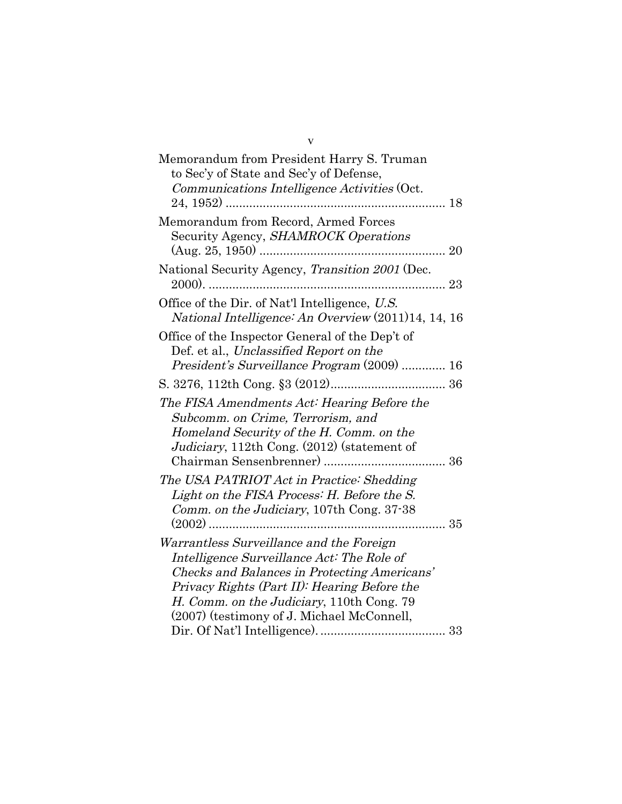| Memorandum from President Harry S. Truman<br>to Sec'y of State and Sec'y of Defense,<br>Communications Intelligence Activities (Oct.                                                                                                                                              |  |
|-----------------------------------------------------------------------------------------------------------------------------------------------------------------------------------------------------------------------------------------------------------------------------------|--|
|                                                                                                                                                                                                                                                                                   |  |
| Memorandum from Record, Armed Forces<br>Security Agency, SHAMROCK Operations                                                                                                                                                                                                      |  |
| National Security Agency, Transition 2001 (Dec.                                                                                                                                                                                                                                   |  |
| Office of the Dir. of Nat'l Intelligence, U.S.<br>National Intelligence: An Overview (2011)14, 14, 16                                                                                                                                                                             |  |
| Office of the Inspector General of the Dep't of<br>Def. et al., Unclassified Report on the<br>President's Surveillance Program (2009)  16                                                                                                                                         |  |
|                                                                                                                                                                                                                                                                                   |  |
| The FISA Amendments Act: Hearing Before the<br>Subcomm. on Crime, Terrorism, and<br>Homeland Security of the H. Comm. on the<br>Judiciary, 112th Cong. (2012) (statement of                                                                                                       |  |
| The USA PATRIOT Act in Practice: Shedding<br>Light on the FISA Process: H. Before the S.<br>Comm. on the Judiciary, 107th Cong. 37-38<br>$(2002)$<br>35<br>. <b>.</b>                                                                                                             |  |
| Warrantless Surveillance and the Foreign<br>Intelligence Surveillance Act: The Role of<br>Checks and Balances in Protecting Americans'<br>Privacy Rights (Part II): Hearing Before the<br>H. Comm. on the Judiciary, 110th Cong. 79<br>(2007) (testimony of J. Michael McConnell, |  |

v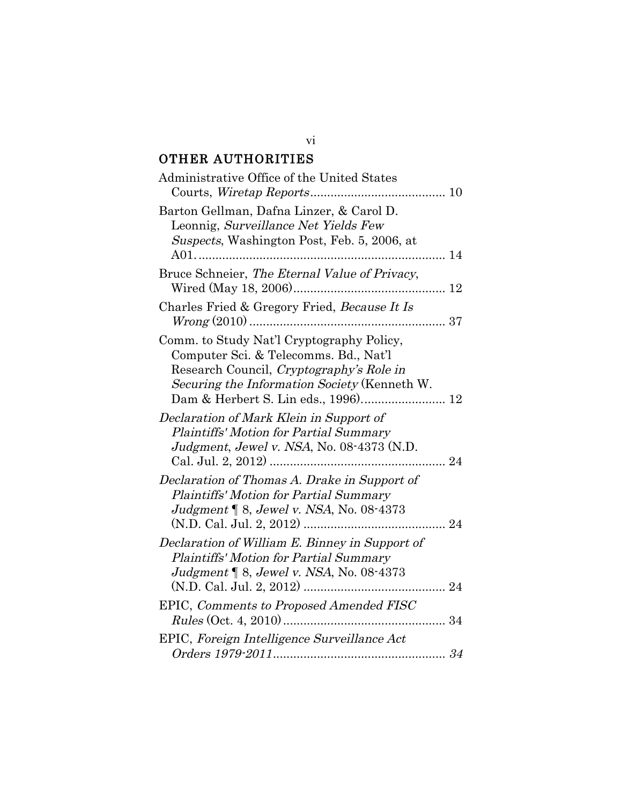# OTHER AUTHORITIES

| Administrative Office of the United States                                                                                                                                                                            |  |
|-----------------------------------------------------------------------------------------------------------------------------------------------------------------------------------------------------------------------|--|
| Barton Gellman, Dafna Linzer, & Carol D.<br>Leonnig, Surveillance Net Yields Few<br>Suspects, Washington Post, Feb. 5, 2006, at                                                                                       |  |
| Bruce Schneier, The Eternal Value of Privacy,                                                                                                                                                                         |  |
| Charles Fried & Gregory Fried, Because It Is                                                                                                                                                                          |  |
| Comm. to Study Nat'l Cryptography Policy,<br>Computer Sci. & Telecomms. Bd., Nat'l<br>Research Council, Cryptography's Role in<br>Securing the Information Society (Kenneth W.<br>Dam & Herbert S. Lin eds., 1996) 12 |  |
| Declaration of Mark Klein in Support of<br>Plaintiffs' Motion for Partial Summary<br>Judgment, Jewel v. NSA, No. 08-4373 (N.D.                                                                                        |  |
| Declaration of Thomas A. Drake in Support of<br>Plaintiffs' Motion for Partial Summary<br>Judgment $\llbracket 8$ , Jewel v. NSA, No. 08-4373                                                                         |  |
| Declaration of William E. Binney in Support of<br><b>Plaintiffs' Motion for Partial Summary</b><br>Judgment   8, Jewel v. NSA, No. 08-4373                                                                            |  |
| EPIC, Comments to Proposed Amended FISC                                                                                                                                                                               |  |
| EPIC, Foreign Intelligence Surveillance Act                                                                                                                                                                           |  |
|                                                                                                                                                                                                                       |  |

vi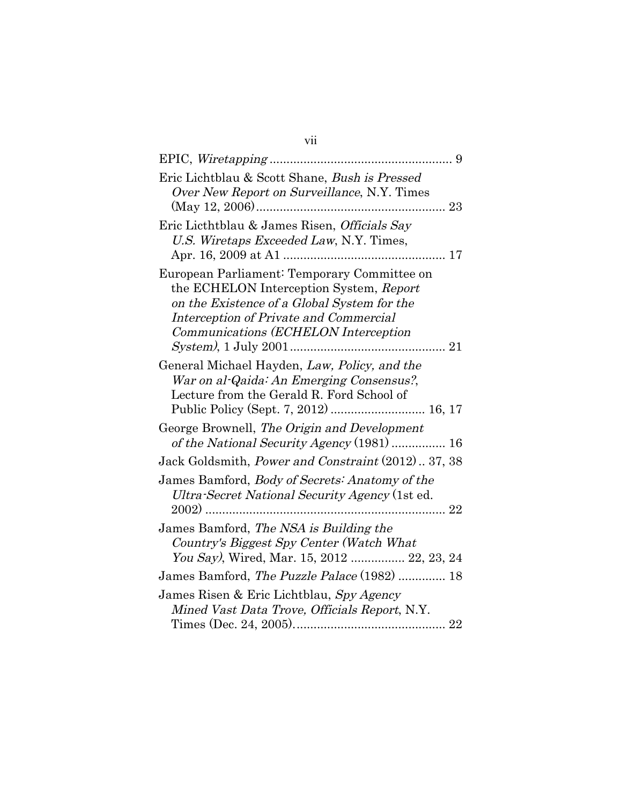| Eric Lichtblau & Scott Shane, Bush is Pressed<br>Over New Report on Surveillance, N.Y. Times                                                                                                                            |
|-------------------------------------------------------------------------------------------------------------------------------------------------------------------------------------------------------------------------|
| Eric Licthtblau & James Risen, Officials Say<br>U.S. Wiretaps Exceeded Law, N.Y. Times,                                                                                                                                 |
| European Parliament: Temporary Committee on<br>the ECHELON Interception System, Report<br>on the Existence of a Global System for the<br>Interception of Private and Commercial<br>Communications (ECHELON Interception |
| General Michael Hayden, Law, Policy, and the<br>War on al-Qaida: An Emerging Consensus?,<br>Lecture from the Gerald R. Ford School of                                                                                   |
| George Brownell, The Origin and Development<br>of the National Security Agency (1981)  16                                                                                                                               |
| Jack Goldsmith, Power and Constraint (2012) 37, 38                                                                                                                                                                      |
| James Bamford, Body of Secrets: Anatomy of the<br>Ultra-Secret National Security Agency (1st ed.                                                                                                                        |
| James Bamford, The NSA is Building the<br>Country's Biggest Spy Center (Watch What<br>You Say), Wired, Mar. 15, 2012  22, 23, 24                                                                                        |
| James Bamford, The Puzzle Palace (1982)  18                                                                                                                                                                             |
| James Risen & Eric Lichtblau, Spy Agency<br>Mined Vast Data Trove, Officials Report, N.Y.                                                                                                                               |

vii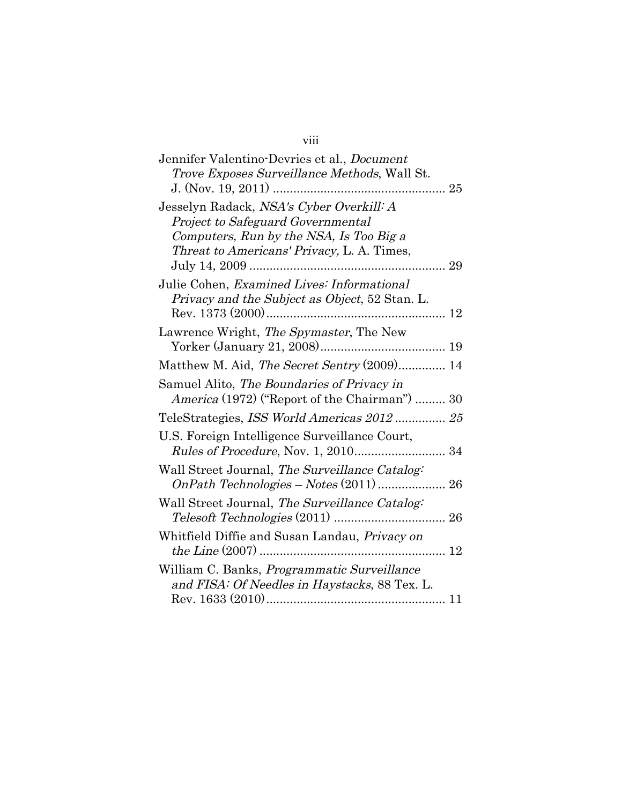# viii

| Jennifer Valentino-Devries et al., <i>Document</i><br><i>Trove Exposes Surveillance Methods, Wall St.</i>                                                                    |
|------------------------------------------------------------------------------------------------------------------------------------------------------------------------------|
| Jesselyn Radack, NSA's Cyber Overkill: A<br>Project to Safeguard Governmental<br>Computers, Run by the NSA, Is Too Big a<br>Threat to Americans' Privacy, L. A. Times,<br>29 |
| Julie Cohen, Examined Lives: Informational<br>Privacy and the Subject as Object, 52 Stan. L.<br>Rev. $1373(2000)$ .                                                          |
| Lawrence Wright, The Spymaster, The New                                                                                                                                      |
| Matthew M. Aid, The Secret Sentry (2009) 14                                                                                                                                  |
| Samuel Alito, The Boundaries of Privacy in<br>America (1972) ("Report of the Chairman")  30                                                                                  |
| TeleStrategies, ISS World Americas 2012 25                                                                                                                                   |
| U.S. Foreign Intelligence Surveillance Court,<br><i>Rules of Procedure, Nov. 1, 2010</i> 34                                                                                  |
| Wall Street Journal, The Surveillance Catalog:                                                                                                                               |
| Wall Street Journal, The Surveillance Catalog:<br>$Telesoft\text{ Technologyies}\ (2011)\ \ldots\ \ldots\ \ldots\ \ldots\ \ldots\ \ldots\ \ldots\ \ 26$                      |
| Whitfield Diffie and Susan Landau, Privacy on                                                                                                                                |
| William C. Banks, <i>Programmatic Surveillance</i><br>and FISA: Of Needles in Haystacks, 88 Tex. L.                                                                          |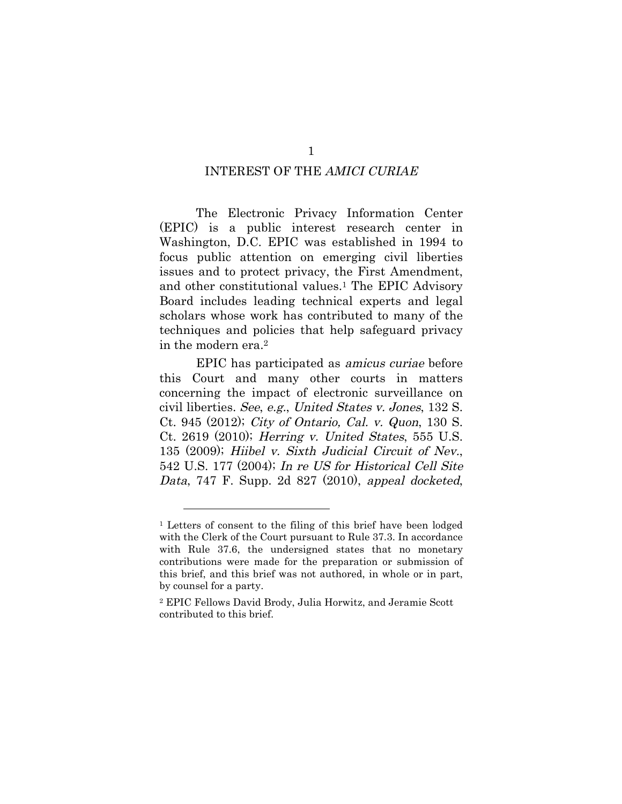#### INTEREST OF THE AMICI CURIAE

The Electronic Privacy Information Center (EPIC) is a public interest research center in Washington, D.C. EPIC was established in 1994 to focus public attention on emerging civil liberties issues and to protect privacy, the First Amendment, and other constitutional values.1 The EPIC Advisory Board includes leading technical experts and legal scholars whose work has contributed to many of the techniques and policies that help safeguard privacy in the modern era.2

EPIC has participated as amicus curiae before this Court and many other courts in matters concerning the impact of electronic surveillance on civil liberties. See, e.g., United States v. Jones, 132 S. Ct. 945 (2012); City of Ontario, Cal. v. Quon, 130 S. Ct. 2619 (2010); Herring v. United States, 555 U.S. 135 (2009); Hiibel v. Sixth Judicial Circuit of Nev., 542 U.S. 177 (2004); In re US for Historical Cell Site Data, 747 F. Supp. 2d 827 (2010), appeal docketed,

<sup>1</sup> Letters of consent to the filing of this brief have been lodged with the Clerk of the Court pursuant to Rule 37.3. In accordance with Rule 37.6, the undersigned states that no monetary contributions were made for the preparation or submission of this brief, and this brief was not authored, in whole or in part, by counsel for a party.

<sup>2</sup> EPIC Fellows David Brody, Julia Horwitz, and Jeramie Scott contributed to this brief.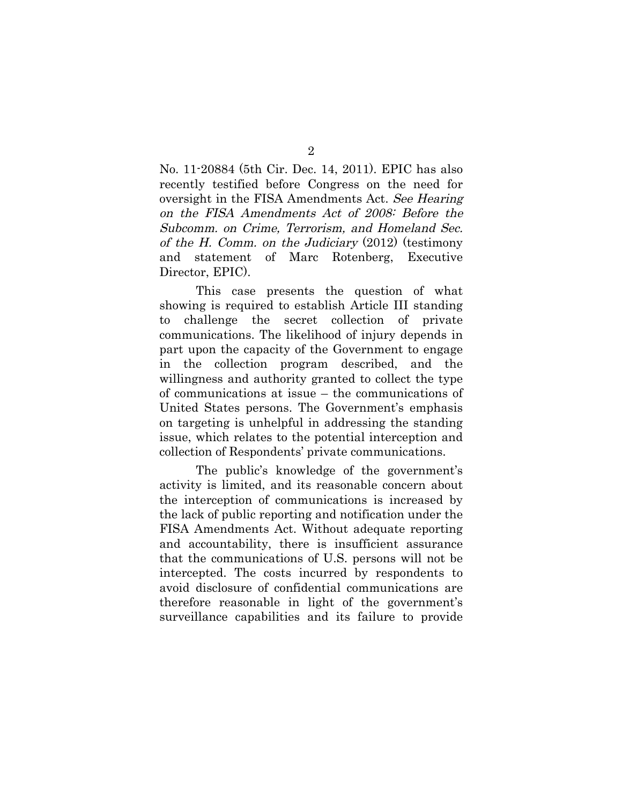No. 11-20884 (5th Cir. Dec. 14, 2011). EPIC has also recently testified before Congress on the need for oversight in the FISA Amendments Act. See Hearing on the FISA Amendments Act of 2008: Before the Subcomm. on Crime, Terrorism, and Homeland Sec. of the H. Comm. on the Judiciary (2012) (testimony and statement of Marc Rotenberg, Executive Director, EPIC).

This case presents the question of what showing is required to establish Article III standing to challenge the secret collection of private communications. The likelihood of injury depends in part upon the capacity of the Government to engage in the collection program described, and the willingness and authority granted to collect the type of communications at issue – the communications of United States persons. The Government's emphasis on targeting is unhelpful in addressing the standing issue, which relates to the potential interception and collection of Respondents' private communications.

The public's knowledge of the government's activity is limited, and its reasonable concern about the interception of communications is increased by the lack of public reporting and notification under the FISA Amendments Act. Without adequate reporting and accountability, there is insufficient assurance that the communications of U.S. persons will not be intercepted. The costs incurred by respondents to avoid disclosure of confidential communications are therefore reasonable in light of the government's surveillance capabilities and its failure to provide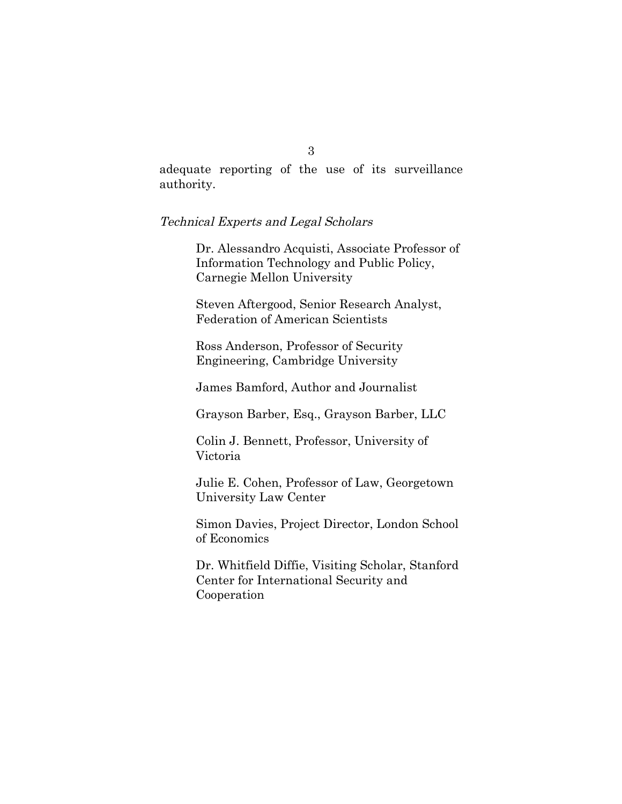adequate reporting of the use of its surveillance authority.

#### Technical Experts and Legal Scholars

Dr. Alessandro Acquisti, Associate Professor of Information Technology and Public Policy, Carnegie Mellon University

Steven Aftergood, Senior Research Analyst, Federation of American Scientists

Ross Anderson, Professor of Security Engineering, Cambridge University

James Bamford, Author and Journalist

Grayson Barber, Esq., Grayson Barber, LLC

Colin J. Bennett, Professor, University of Victoria

Julie E. Cohen, Professor of Law, Georgetown University Law Center

Simon Davies, Project Director, London School of Economics

Dr. Whitfield Diffie, Visiting Scholar, Stanford Center for International Security and Cooperation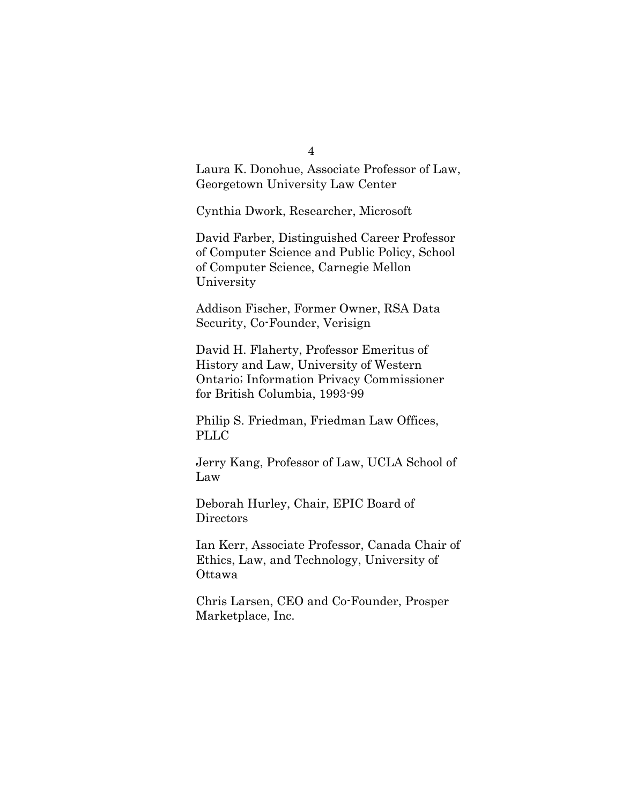4

Laura K. Donohue, Associate Professor of Law, Georgetown University Law Center

Cynthia Dwork, Researcher, Microsoft

David Farber, Distinguished Career Professor of Computer Science and Public Policy, School of Computer Science, Carnegie Mellon University

Addison Fischer, Former Owner, RSA Data Security, Co-Founder, Verisign

David H. Flaherty, Professor Emeritus of History and Law, University of Western Ontario; Information Privacy Commissioner for British Columbia, 1993-99

Philip S. Friedman, Friedman Law Offices, PLLC

Jerry Kang, Professor of Law, UCLA School of Law

Deborah Hurley, Chair, EPIC Board of Directors

Ian Kerr, Associate Professor, Canada Chair of Ethics, Law, and Technology, University of Ottawa

Chris Larsen, CEO and Co-Founder, Prosper Marketplace, Inc.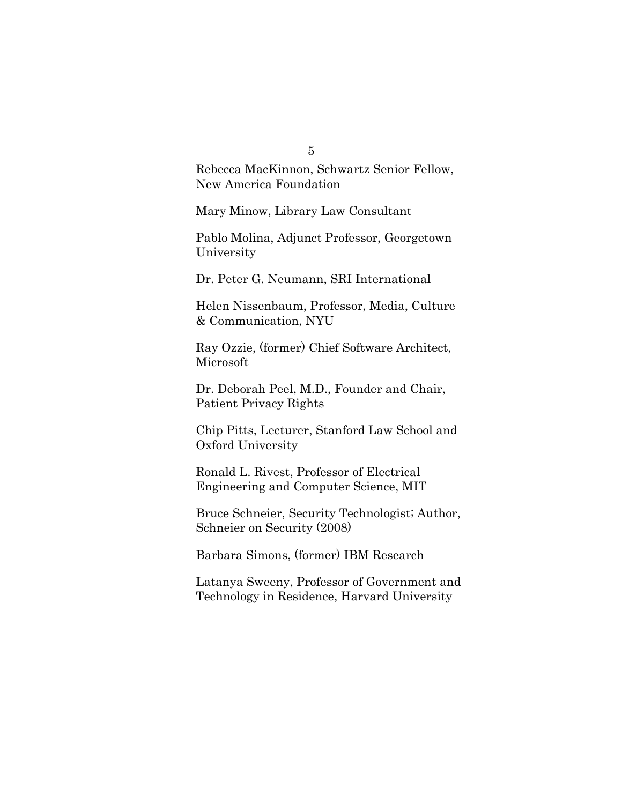#### 5

Rebecca MacKinnon, Schwartz Senior Fellow, New America Foundation

Mary Minow, Library Law Consultant

Pablo Molina, Adjunct Professor, Georgetown University

Dr. Peter G. Neumann, SRI International

Helen Nissenbaum, Professor, Media, Culture & Communication, NYU

Ray Ozzie, (former) Chief Software Architect, Microsoft

Dr. Deborah Peel, M.D., Founder and Chair, Patient Privacy Rights

Chip Pitts, Lecturer, Stanford Law School and Oxford University

Ronald L. Rivest, Professor of Electrical Engineering and Computer Science, MIT

Bruce Schneier, Security Technologist; Author, Schneier on Security (2008)

Barbara Simons, (former) IBM Research

Latanya Sweeny, Professor of Government and Technology in Residence, Harvard University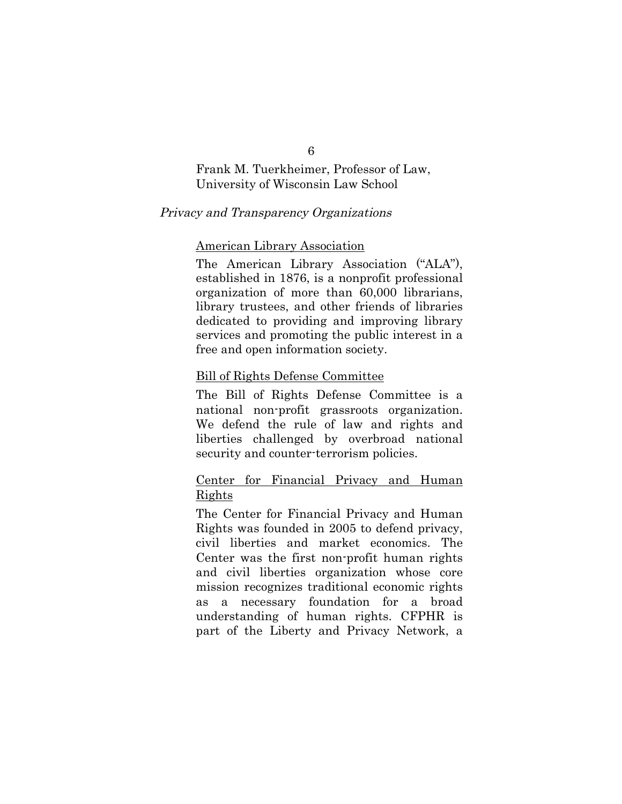## Frank M. Tuerkheimer, Professor of Law, University of Wisconsin Law School

### Privacy and Transparency Organizations

### American Library Association

The American Library Association ("ALA"), established in 1876, is a nonprofit professional organization of more than 60,000 librarians, library trustees, and other friends of libraries dedicated to providing and improving library services and promoting the public interest in a free and open information society.

#### Bill of Rights Defense Committee

The Bill of Rights Defense Committee is a national non-profit grassroots organization. We defend the rule of law and rights and liberties challenged by overbroad national security and counter-terrorism policies.

## Center for Financial Privacy and Human Rights

The Center for Financial Privacy and Human Rights was founded in 2005 to defend privacy, civil liberties and market economics. The Center was the first non-profit human rights and civil liberties organization whose core mission recognizes traditional economic rights as a necessary foundation for a broad understanding of human rights. CFPHR is part of the Liberty and Privacy Network, a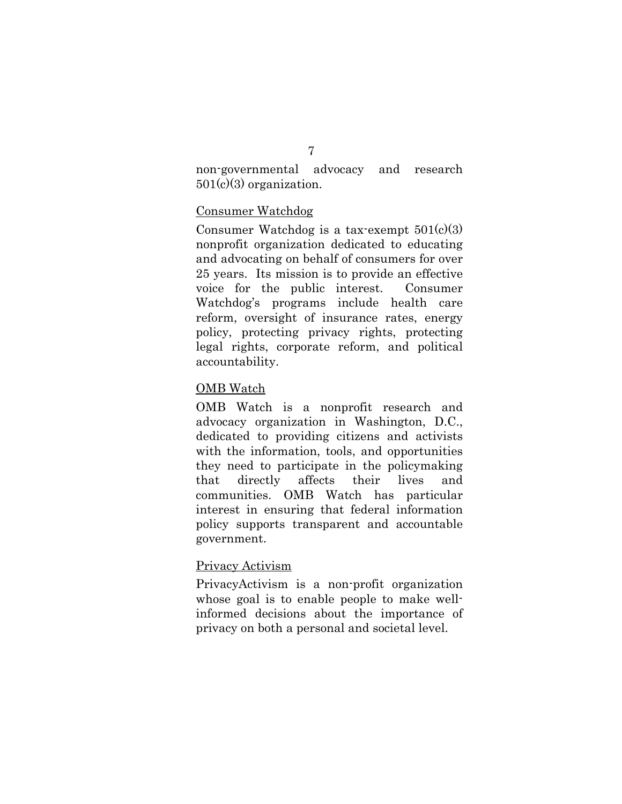#### 7

non-governmental advocacy and research 501(c)(3) organization.

## Consumer Watchdog

Consumer Watchdog is a tax-exempt  $501(c)(3)$ nonprofit organization dedicated to educating and advocating on behalf of consumers for over 25 years. Its mission is to provide an effective voice for the public interest. Consumer Watchdog's programs include health care reform, oversight of insurance rates, energy policy, protecting privacy rights, protecting legal rights, corporate reform, and political accountability.

## OMB Watch

OMB Watch is a nonprofit research and advocacy organization in Washington, D.C., dedicated to providing citizens and activists with the information, tools, and opportunities they need to participate in the policymaking that directly affects their lives and communities. OMB Watch has particular interest in ensuring that federal information policy supports transparent and accountable government.

### Privacy Activism

PrivacyActivism is a non-profit organization whose goal is to enable people to make wellinformed decisions about the importance of privacy on both a personal and societal level.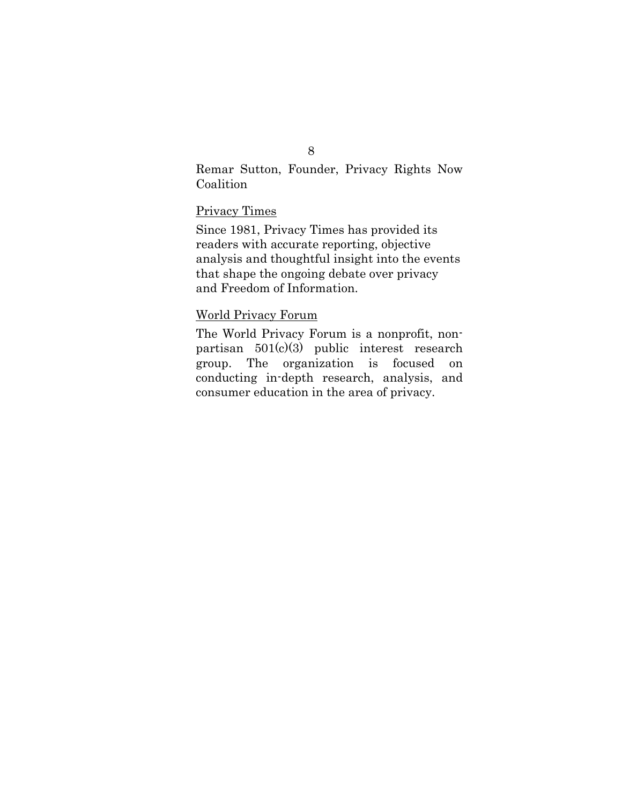## Remar Sutton, Founder, Privacy Rights Now Coalition

## Privacy Times

Since 1981, Privacy Times has provided its readers with accurate reporting, objective analysis and thoughtful insight into the events that shape the ongoing debate over privacy and Freedom of Information.

## World Privacy Forum

The World Privacy Forum is a nonprofit, nonpartisan 501(c)(3) public interest research group. The organization is focused on conducting in-depth research, analysis, and consumer education in the area of privacy.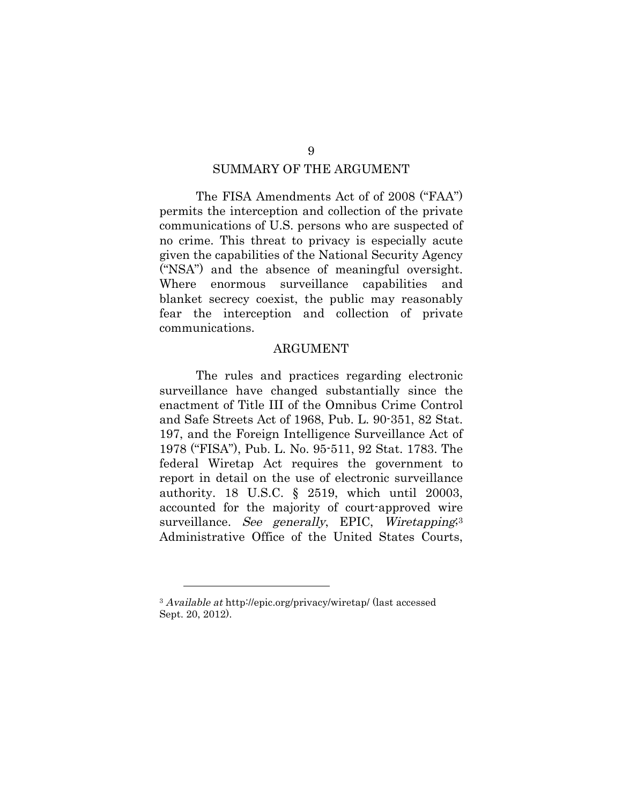#### SUMMARY OF THE ARGUMENT

The FISA Amendments Act of of 2008 ("FAA") permits the interception and collection of the private communications of U.S. persons who are suspected of no crime. This threat to privacy is especially acute given the capabilities of the National Security Agency ("NSA") and the absence of meaningful oversight. Where enormous surveillance capabilities and blanket secrecy coexist, the public may reasonably fear the interception and collection of private communications.

#### ARGUMENT

The rules and practices regarding electronic surveillance have changed substantially since the enactment of Title III of the Omnibus Crime Control and Safe Streets Act of 1968, Pub. L. 90-351, 82 Stat. 197, and the Foreign Intelligence Surveillance Act of 1978 ("FISA"), Pub. L. No. 95-511, 92 Stat. 1783. The federal Wiretap Act requires the government to report in detail on the use of electronic surveillance authority. 18 U.S.C. § 2519, which until 20003, accounted for the majority of court-approved wire surveillance. See generally, EPIC, Wiretapping<sup>3</sup> Administrative Office of the United States Courts,

<sup>&</sup>lt;sup>3</sup> Available at http://epic.org/privacy/wiretap/ (last accessed Sept. 20, 2012).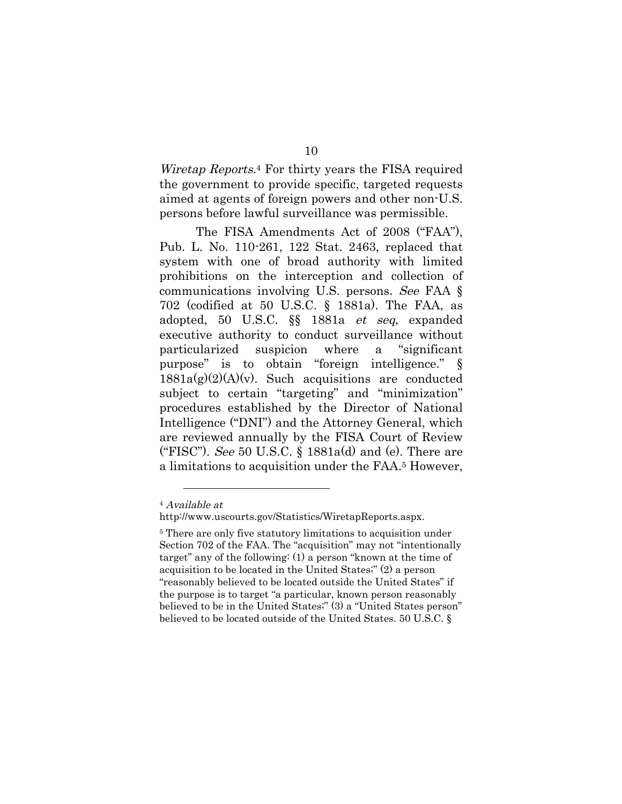Wiretap Reports.4 For thirty years the FISA required the government to provide specific, targeted requests aimed at agents of foreign powers and other non-U.S. persons before lawful surveillance was permissible.

The FISA Amendments Act of 2008 ("FAA"), Pub. L. No. 110-261, 122 Stat. 2463, replaced that system with one of broad authority with limited prohibitions on the interception and collection of communications involving U.S. persons. See FAA § 702 (codified at 50 U.S.C. § 1881a). The FAA, as adopted, 50 U.S.C. §§ 1881a et seq, expanded executive authority to conduct surveillance without particularized suspicion where a "significant purpose" is to obtain "foreign intelligence." §  $1881a(g)(2)(A)(v)$ . Such acquisitions are conducted subject to certain "targeting" and "minimization" procedures established by the Director of National Intelligence ("DNI") and the Attorney General, which are reviewed annually by the FISA Court of Review ("FISC"). See 50 U.S.C.  $\S$  1881a(d) and (e). There are a limitations to acquisition under the FAA.5 However,

<sup>4</sup> Available at

http://www.uscourts.gov/Statistics/WiretapReports.aspx.

<sup>5</sup> There are only five statutory limitations to acquisition under Section 702 of the FAA. The "acquisition" may not "intentionally target" any of the following: (1) a person "known at the time of acquisition to be located in the United States;" (2) a person "reasonably believed to be located outside the United States" if the purpose is to target "a particular, known person reasonably believed to be in the United States;" (3) a "United States person" believed to be located outside of the United States. 50 U.S.C. §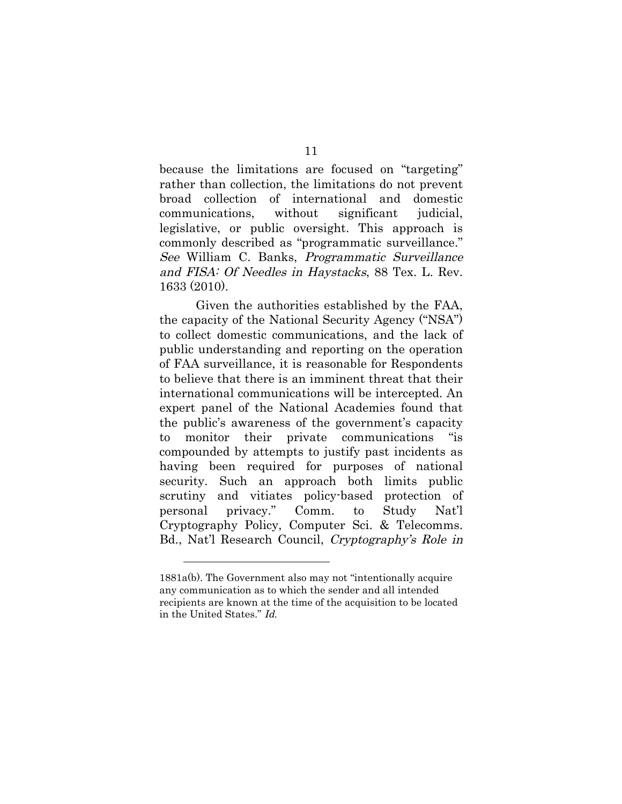because the limitations are focused on "targeting" rather than collection, the limitations do not prevent broad collection of international and domestic communications, without significant judicial, legislative, or public oversight. This approach is commonly described as "programmatic surveillance." See William C. Banks, Programmatic Surveillance and FISA: Of Needles in Haystacks, 88 Tex. L. Rev. 1633 (2010).

Given the authorities established by the FAA, the capacity of the National Security Agency ("NSA") to collect domestic communications, and the lack of public understanding and reporting on the operation of FAA surveillance, it is reasonable for Respondents to believe that there is an imminent threat that their international communications will be intercepted. An expert panel of the National Academies found that the public's awareness of the government's capacity to monitor their private communications "is compounded by attempts to justify past incidents as having been required for purposes of national security. Such an approach both limits public scrutiny and vitiates policy-based protection of personal privacy." Comm. to Study Nat'l Cryptography Policy, Computer Sci. & Telecomms. Bd., Nat'l Research Council, Cryptography's Role in

<sup>1881</sup>a(b). The Government also may not "intentionally acquire any communication as to which the sender and all intended recipients are known at the time of the acquisition to be located in the United States." Id.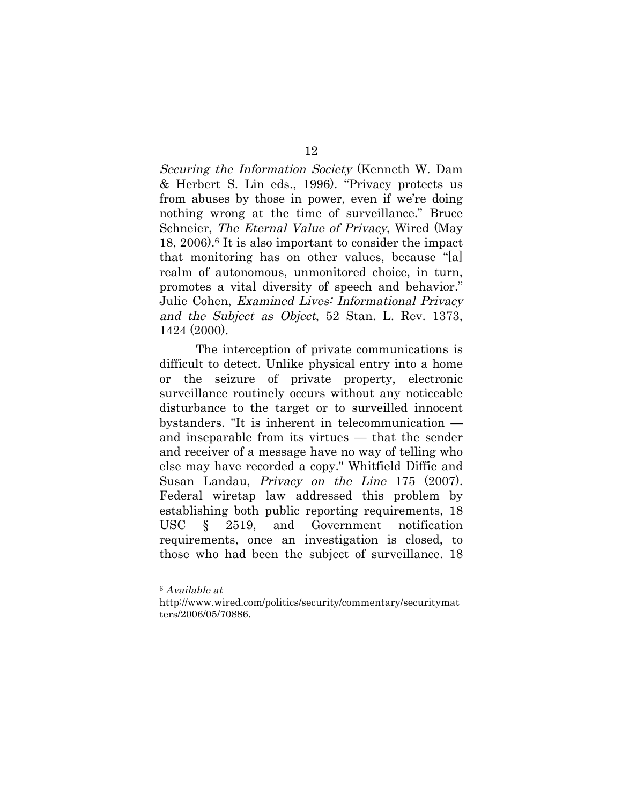Securing the Information Society (Kenneth W. Dam & Herbert S. Lin eds., 1996). "Privacy protects us from abuses by those in power, even if we're doing nothing wrong at the time of surveillance." Bruce Schneier, The Eternal Value of Privacy, Wired (May 18, 2006).6 It is also important to consider the impact that monitoring has on other values, because "[a] realm of autonomous, unmonitored choice, in turn, promotes a vital diversity of speech and behavior." Julie Cohen, Examined Lives: Informational Privacy and the Subject as Object, 52 Stan. L. Rev. 1373, 1424 (2000).

The interception of private communications is difficult to detect. Unlike physical entry into a home or the seizure of private property, electronic surveillance routinely occurs without any noticeable disturbance to the target or to surveilled innocent bystanders. "It is inherent in telecommunication and inseparable from its virtues — that the sender and receiver of a message have no way of telling who else may have recorded a copy." Whitfield Diffie and Susan Landau, Privacy on the Line 175 (2007). Federal wiretap law addressed this problem by establishing both public reporting requirements, 18 USC § 2519, and Government notification requirements, once an investigation is closed, to those who had been the subject of surveillance. 18

<sup>6</sup> Available at

http://www.wired.com/politics/security/commentary/securitymat ters/2006/05/70886.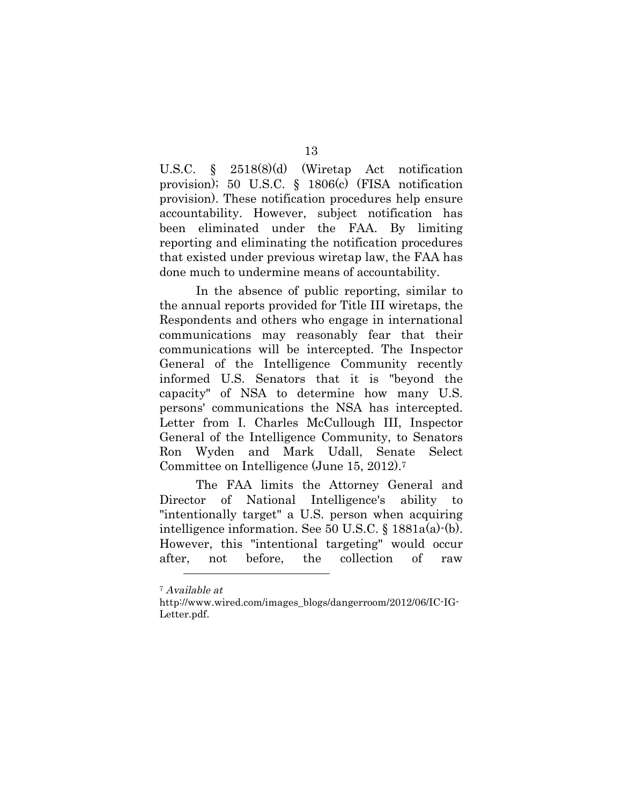U.S.C. § 2518(8)(d) (Wiretap Act notification provision); 50 U.S.C. § 1806(c) (FISA notification provision). These notification procedures help ensure accountability. However, subject notification has been eliminated under the FAA. By limiting reporting and eliminating the notification procedures that existed under previous wiretap law, the FAA has done much to undermine means of accountability.

In the absence of public reporting, similar to the annual reports provided for Title III wiretaps, the Respondents and others who engage in international communications may reasonably fear that their communications will be intercepted. The Inspector General of the Intelligence Community recently informed U.S. Senators that it is "beyond the capacity" of NSA to determine how many U.S. persons' communications the NSA has intercepted. Letter from I. Charles McCullough III, Inspector General of the Intelligence Community, to Senators Ron Wyden and Mark Udall, Senate Select Committee on Intelligence (June 15, 2012).7

The FAA limits the Attorney General and Director of National Intelligence's ability to "intentionally target" a U.S. person when acquiring intelligence information. See 50 U.S.C. § 1881a(a)-(b). However, this "intentional targeting" would occur after, not before, the collection of raw

<sup>7</sup> Available at

http://www.wired.com/images\_blogs/dangerroom/2012/06/IC-IG-Letter.pdf.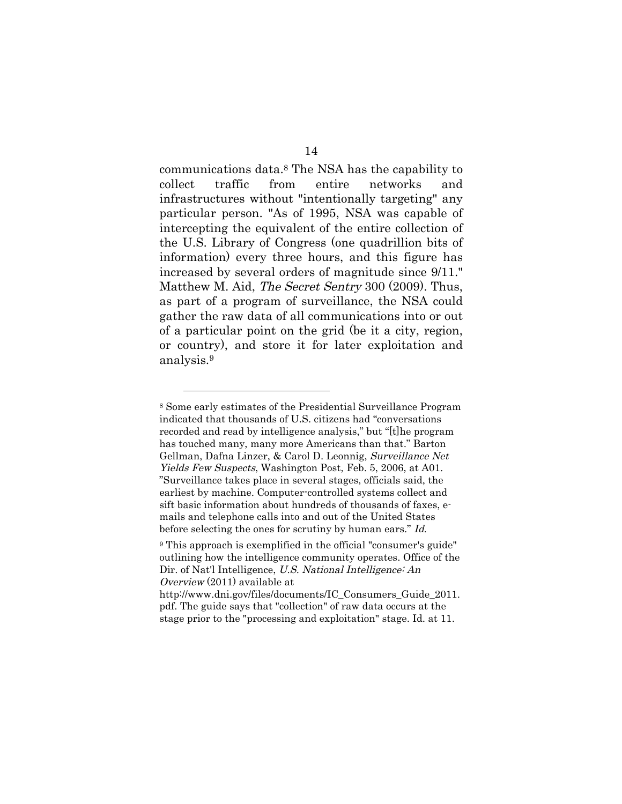communications data.8 The NSA has the capability to collect traffic from entire networks and infrastructures without "intentionally targeting" any particular person. "As of 1995, NSA was capable of intercepting the equivalent of the entire collection of the U.S. Library of Congress (one quadrillion bits of information) every three hours, and this figure has increased by several orders of magnitude since 9/11." Matthew M. Aid, The Secret Sentry 300 (2009). Thus, as part of a program of surveillance, the NSA could gather the raw data of all communications into or out of a particular point on the grid (be it a city, region, or country), and store it for later exploitation and analysis.9

<sup>8</sup> Some early estimates of the Presidential Surveillance Program indicated that thousands of U.S. citizens had "conversations recorded and read by intelligence analysis," but "[t]he program has touched many, many more Americans than that." Barton Gellman, Dafna Linzer, & Carol D. Leonnig, Surveillance Net Yields Few Suspects, Washington Post, Feb. 5, 2006, at A01. "Surveillance takes place in several stages, officials said, the earliest by machine. Computer-controlled systems collect and sift basic information about hundreds of thousands of faxes, emails and telephone calls into and out of the United States before selecting the ones for scrutiny by human ears." Id.

<sup>9</sup> This approach is exemplified in the official "consumer's guide" outlining how the intelligence community operates. Office of the Dir. of Nat'l Intelligence, U.S. National Intelligence: An Overview (2011) available at

http://www.dni.gov/files/documents/IC\_Consumers\_Guide\_2011. pdf. The guide says that "collection" of raw data occurs at the stage prior to the "processing and exploitation" stage. Id. at 11.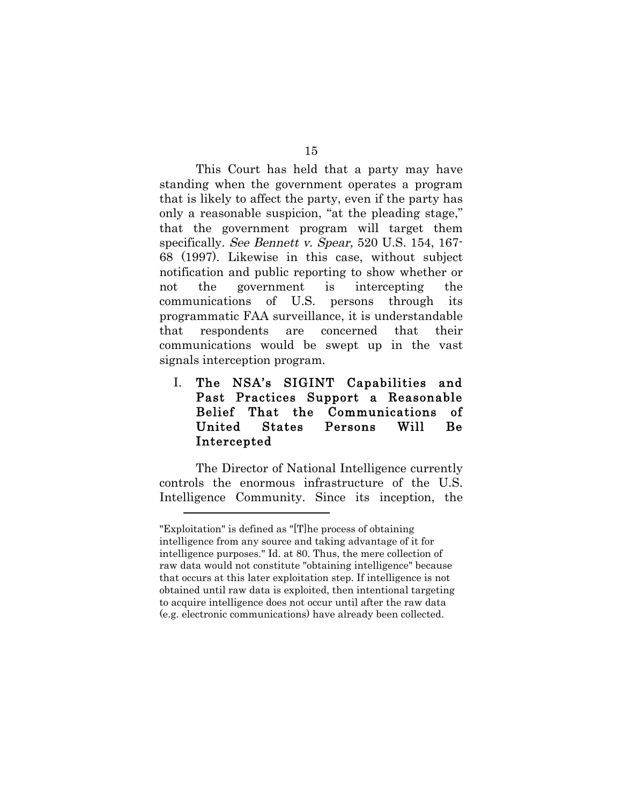This Court has held that a party may have standing when the government operates a program that is likely to affect the party, even if the party has only a reasonable suspicion, "at the pleading stage," that the government program will target them specifically. See Bennett v. Spear, 520 U.S. 154, 167-68 (1997). Likewise in this case, without subject notification and public reporting to show whether or not the government is intercepting the communications of U.S. persons through its programmatic FAA surveillance, it is understandable that respondents are concerned that their communications would be swept up in the vast signals interception program.

## I. The NSA's SIGINT Capabilities and Past Practices Support a Reasonable Belief That the Communications of United States Persons Will Be Intercepted

The Director of National Intelligence currently controls the enormous infrastructure of the U.S. Intelligence Community. Since its inception, the

<sup>&</sup>quot;Exploitation" is defined as "[T]he process of obtaining intelligence from any source and taking advantage of it for intelligence purposes." Id. at 80. Thus, the mere collection of raw data would not constitute "obtaining intelligence" because that occurs at this later exploitation step. If intelligence is not obtained until raw data is exploited, then intentional targeting to acquire intelligence does not occur until after the raw data (e.g. electronic communications) have already been collected.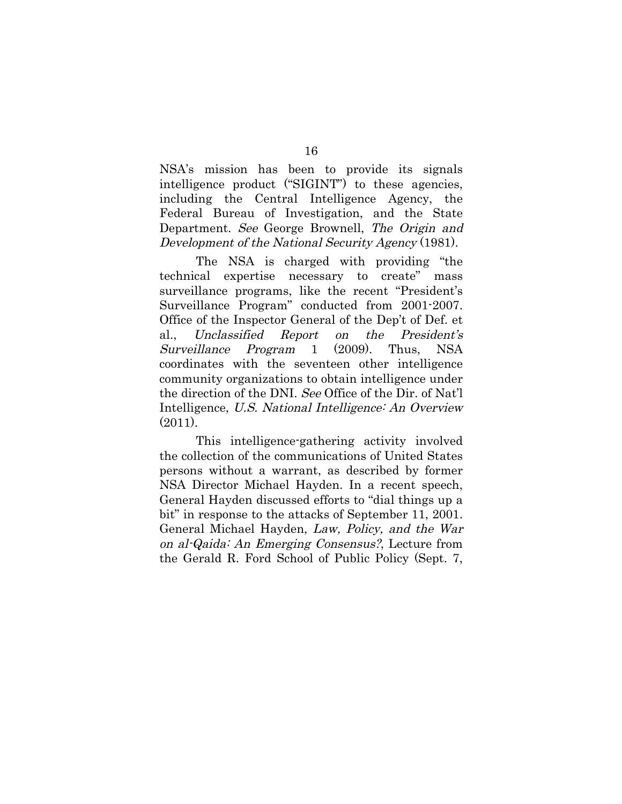NSA's mission has been to provide its signals intelligence product ("SIGINT") to these agencies, including the Central Intelligence Agency, the Federal Bureau of Investigation, and the State Department. See George Brownell, The Origin and Development of the National Security Agency (1981).

The NSA is charged with providing "the technical expertise necessary to create" mass surveillance programs, like the recent "President's Surveillance Program" conducted from 2001-2007. Office of the Inspector General of the Dep't of Def. et al., Unclassified Report on the President's Surveillance Program 1 (2009). Thus, NSA coordinates with the seventeen other intelligence community organizations to obtain intelligence under the direction of the DNI. See Office of the Dir. of Nat'l Intelligence, U.S. National Intelligence: An Overview (2011).

This intelligence-gathering activity involved the collection of the communications of United States persons without a warrant, as described by former NSA Director Michael Hayden. In a recent speech, General Hayden discussed efforts to "dial things up a bit" in response to the attacks of September 11, 2001. General Michael Hayden, Law, Policy, and the War on al-Qaida: An Emerging Consensus?, Lecture from the Gerald R. Ford School of Public Policy (Sept. 7,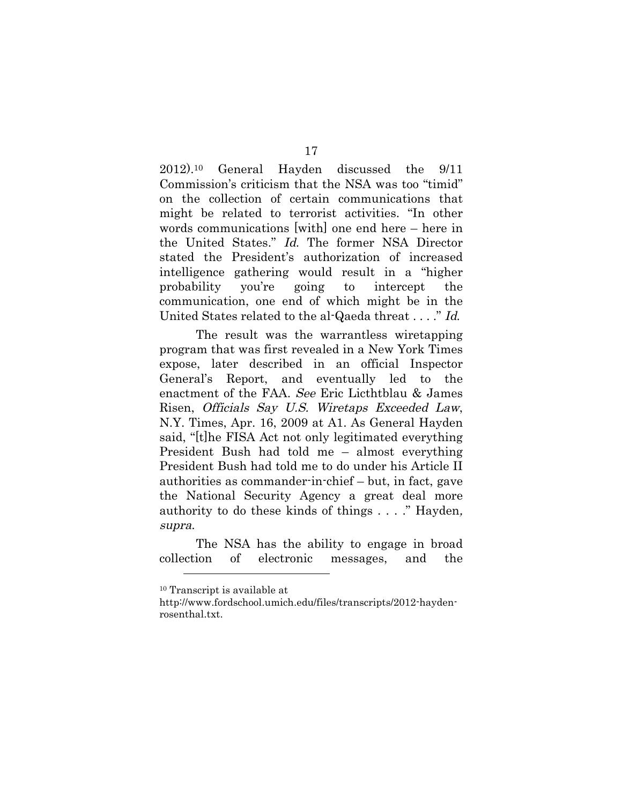2012).10 General Hayden discussed the 9/11 Commission's criticism that the NSA was too "timid" on the collection of certain communications that might be related to terrorist activities. "In other words communications [with] one end here – here in the United States." Id. The former NSA Director stated the President's authorization of increased intelligence gathering would result in a "higher probability you're going to intercept the communication, one end of which might be in the

United States related to the al-Qaeda threat . . . ." Id.

The result was the warrantless wiretapping program that was first revealed in a New York Times expose, later described in an official Inspector General's Report, and eventually led to the enactment of the FAA. See Eric Licthtblau & James Risen, Officials Say U.S. Wiretaps Exceeded Law, N.Y. Times, Apr. 16, 2009 at A1. As General Hayden said, "[t]he FISA Act not only legitimated everything President Bush had told me – almost everything President Bush had told me to do under his Article II authorities as commander-in-chief – but, in fact, gave the National Security Agency a great deal more authority to do these kinds of things . . . ." Hayden, supra.

The NSA has the ability to engage in broad collection of electronic messages, and the

<sup>10</sup> Transcript is available at

http://www.fordschool.umich.edu/files/transcripts/2012-haydenrosenthal.txt.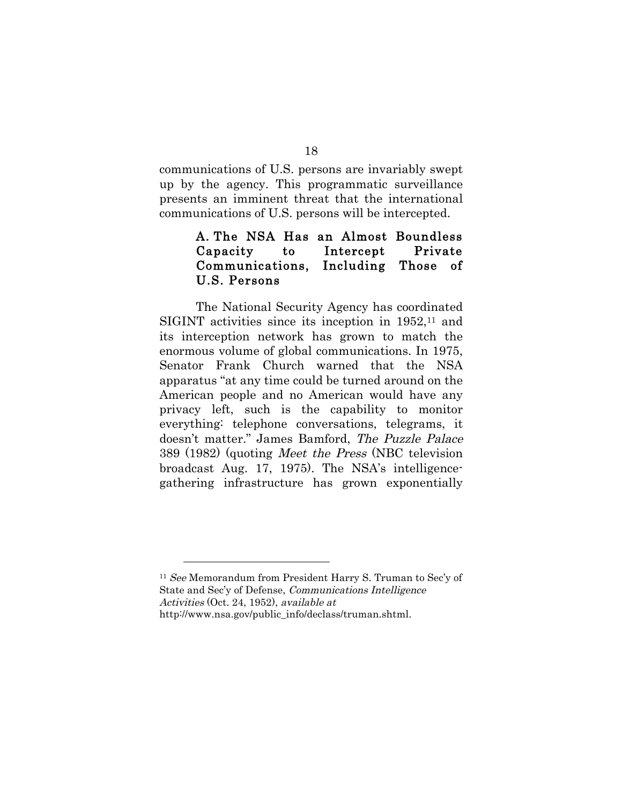communications of U.S. persons are invariably swept up by the agency. This programmatic surveillance presents an imminent threat that the international communications of U.S. persons will be intercepted.

## A. The NSA Has an Almost Boundless Capacity to Intercept Private Communications, Including Those of U.S. Persons

The National Security Agency has coordinated SIGINT activities since its inception in 1952,<sup>11</sup> and its interception network has grown to match the enormous volume of global communications. In 1975, Senator Frank Church warned that the NSA apparatus "at any time could be turned around on the American people and no American would have any privacy left, such is the capability to monitor everything: telephone conversations, telegrams, it doesn't matter." James Bamford, The Puzzle Palace 389 (1982) (quoting Meet the Press (NBC television broadcast Aug. 17, 1975). The NSA's intelligencegathering infrastructure has grown exponentially

<sup>&</sup>lt;sup>11</sup> See Memorandum from President Harry S. Truman to Sec'y of State and Sec'y of Defense, Communications Intelligence Activities (Oct. 24, 1952), available at

http://www.nsa.gov/public\_info/declass/truman.shtml.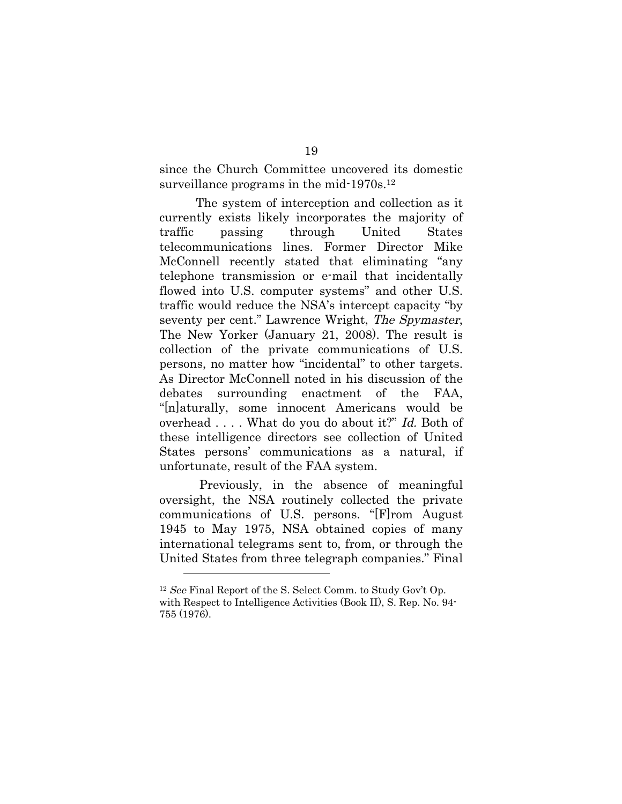since the Church Committee uncovered its domestic surveillance programs in the mid-1970s.<sup>12</sup>

The system of interception and collection as it currently exists likely incorporates the majority of traffic passing through United States telecommunications lines. Former Director Mike McConnell recently stated that eliminating "any telephone transmission or e-mail that incidentally flowed into U.S. computer systems" and other U.S. traffic would reduce the NSA's intercept capacity "by seventy per cent." Lawrence Wright, The Spymaster, The New Yorker (January 21, 2008). The result is collection of the private communications of U.S. persons, no matter how "incidental" to other targets. As Director McConnell noted in his discussion of the debates surrounding enactment of the FAA, "[n]aturally, some innocent Americans would be overhead . . . . What do you do about it?" Id. Both of these intelligence directors see collection of United States persons' communications as a natural, if unfortunate, result of the FAA system.

Previously, in the absence of meaningful oversight, the NSA routinely collected the private communications of U.S. persons. "[F]rom August 1945 to May 1975, NSA obtained copies of many international telegrams sent to, from, or through the United States from three telegraph companies." Final

<sup>&</sup>lt;sup>12</sup> See Final Report of the S. Select Comm. to Study Gov't Op. with Respect to Intelligence Activities (Book II), S. Rep. No. 94- 755 (1976).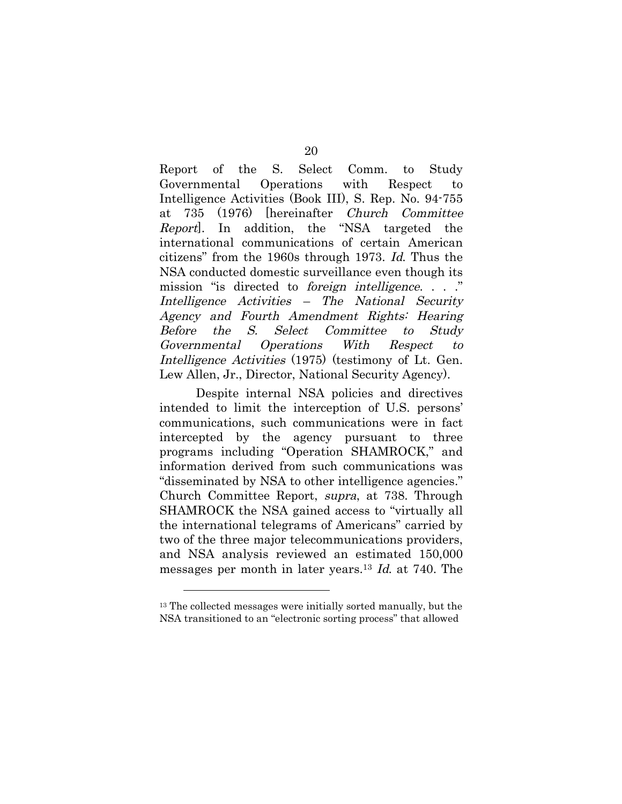Report of the S. Select Comm. to Study Governmental Operations with Respect to Intelligence Activities (Book III), S. Rep. No. 94-755 at 735 (1976) [hereinafter Church Committee Report]. In addition, the "NSA targeted the international communications of certain American citizens" from the 1960s through 1973. Id. Thus the NSA conducted domestic surveillance even though its mission "is directed to foreign intelligence. . . ." Intelligence Activities – The National Security Agency and Fourth Amendment Rights: Hearing Before the S. Select Committee to Study Governmental Operations With Respect to Intelligence Activities (1975) (testimony of Lt. Gen. Lew Allen, Jr., Director, National Security Agency).

Despite internal NSA policies and directives intended to limit the interception of U.S. persons' communications, such communications were in fact intercepted by the agency pursuant to three programs including "Operation SHAMROCK," and information derived from such communications was "disseminated by NSA to other intelligence agencies." Church Committee Report, supra, at 738. Through SHAMROCK the NSA gained access to "virtually all the international telegrams of Americans" carried by two of the three major telecommunications providers, and NSA analysis reviewed an estimated 150,000 messages per month in later years.13 Id. at 740. The

<sup>13</sup> The collected messages were initially sorted manually, but the NSA transitioned to an "electronic sorting process" that allowed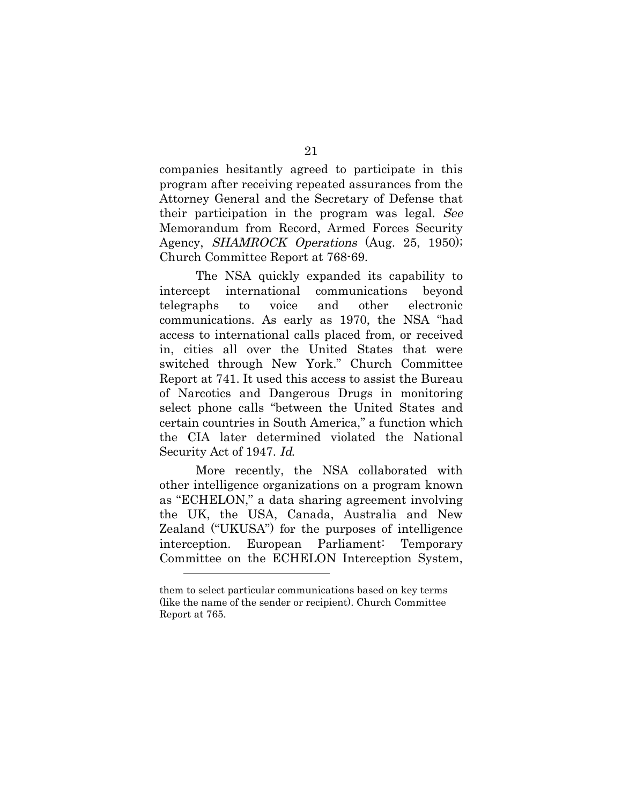companies hesitantly agreed to participate in this program after receiving repeated assurances from the Attorney General and the Secretary of Defense that their participation in the program was legal. See Memorandum from Record, Armed Forces Security Agency, *SHAMROCK Operations* (Aug. 25, 1950); Church Committee Report at 768-69.

The NSA quickly expanded its capability to intercept international communications beyond telegraphs to voice and other electronic communications. As early as 1970, the NSA "had access to international calls placed from, or received in, cities all over the United States that were switched through New York." Church Committee Report at 741. It used this access to assist the Bureau of Narcotics and Dangerous Drugs in monitoring select phone calls "between the United States and certain countries in South America," a function which the CIA later determined violated the National Security Act of 1947. Id.

More recently, the NSA collaborated with other intelligence organizations on a program known as "ECHELON," a data sharing agreement involving the UK, the USA, Canada, Australia and New Zealand ("UKUSA") for the purposes of intelligence interception. European Parliament: Temporary Committee on the ECHELON Interception System,

them to select particular communications based on key terms (like the name of the sender or recipient). Church Committee Report at 765.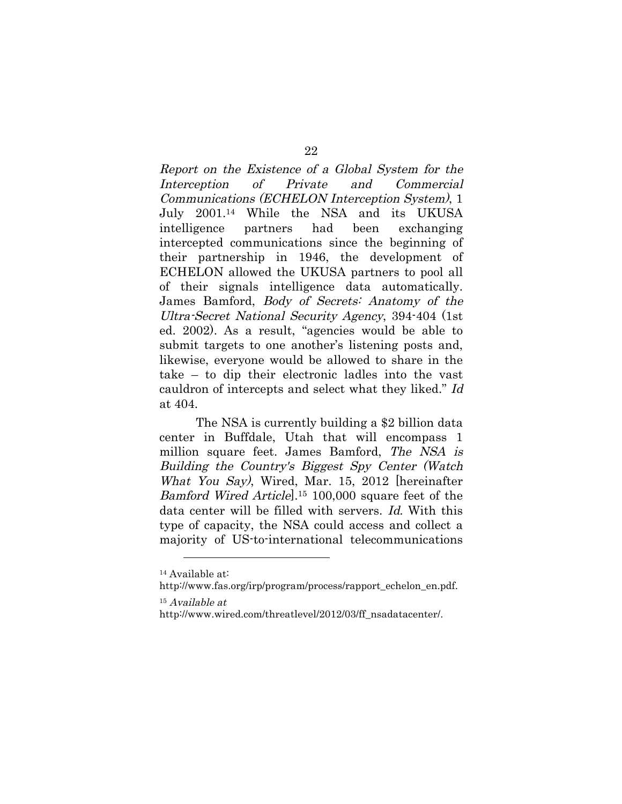Report on the Existence of a Global System for the Interception of Private and Commercial Communications (ECHELON Interception System), 1 July 2001.14 While the NSA and its UKUSA intelligence partners had been exchanging intercepted communications since the beginning of their partnership in 1946, the development of ECHELON allowed the UKUSA partners to pool all of their signals intelligence data automatically. James Bamford, Body of Secrets: Anatomy of the Ultra-Secret National Security Agency, 394-404 (1st ed. 2002). As a result, "agencies would be able to submit targets to one another's listening posts and, likewise, everyone would be allowed to share in the take – to dip their electronic ladles into the vast cauldron of intercepts and select what they liked." Id at 404.

The NSA is currently building a \$2 billion data center in Buffdale, Utah that will encompass 1 million square feet. James Bamford, The NSA is Building the Country's Biggest Spy Center (Watch What You Say), Wired, Mar. 15, 2012 [hereinafter Bamford Wired Article.<sup>15</sup> 100,000 square feet of the data center will be filled with servers. Id. With this type of capacity, the NSA could access and collect a majority of US-to-international telecommunications

<sup>14</sup> Available at:

http://www.fas.org/irp/program/process/rapport\_echelon\_en.pdf.

<sup>15</sup> Available at

http://www.wired.com/threatlevel/2012/03/ff\_nsadatacenter/.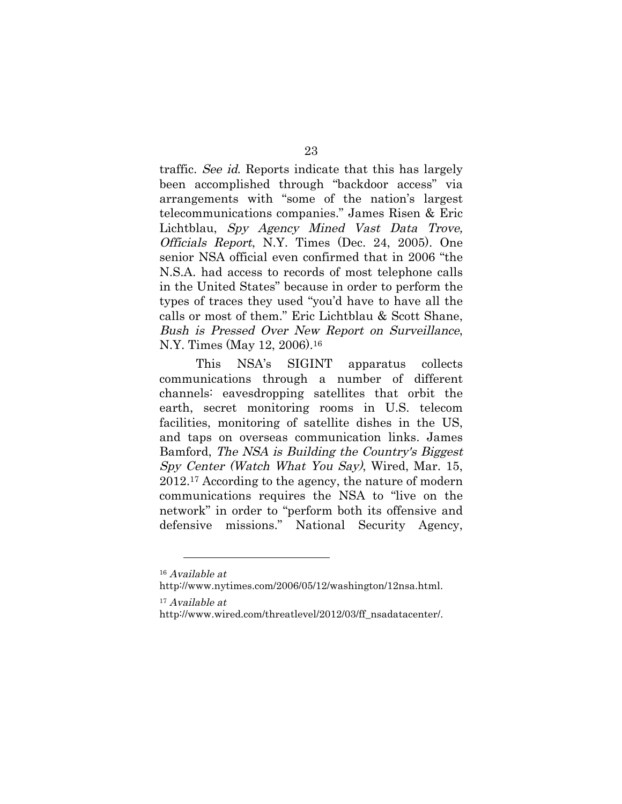traffic. See id. Reports indicate that this has largely been accomplished through "backdoor access" via arrangements with "some of the nation's largest telecommunications companies." James Risen & Eric Lichtblau, Spy Agency Mined Vast Data Trove, Officials Report, N.Y. Times (Dec. 24, 2005). One senior NSA official even confirmed that in 2006 "the N.S.A. had access to records of most telephone calls in the United States" because in order to perform the types of traces they used "you'd have to have all the calls or most of them." Eric Lichtblau & Scott Shane, Bush is Pressed Over New Report on Surveillance, N.Y. Times (May 12, 2006).16

This NSA's SIGINT apparatus collects communications through a number of different channels: eavesdropping satellites that orbit the earth, secret monitoring rooms in U.S. telecom facilities, monitoring of satellite dishes in the US, and taps on overseas communication links. James Bamford, The NSA is Building the Country's Biggest Spy Center (Watch What You Say), Wired, Mar. 15, 2012.17 According to the agency, the nature of modern communications requires the NSA to "live on the network" in order to "perform both its offensive and defensive missions." National Security Agency,

<sup>16</sup> Available at

http://www.nytimes.com/2006/05/12/washington/12nsa.html.

<sup>17</sup> Available at

http://www.wired.com/threatlevel/2012/03/ff\_nsadatacenter/.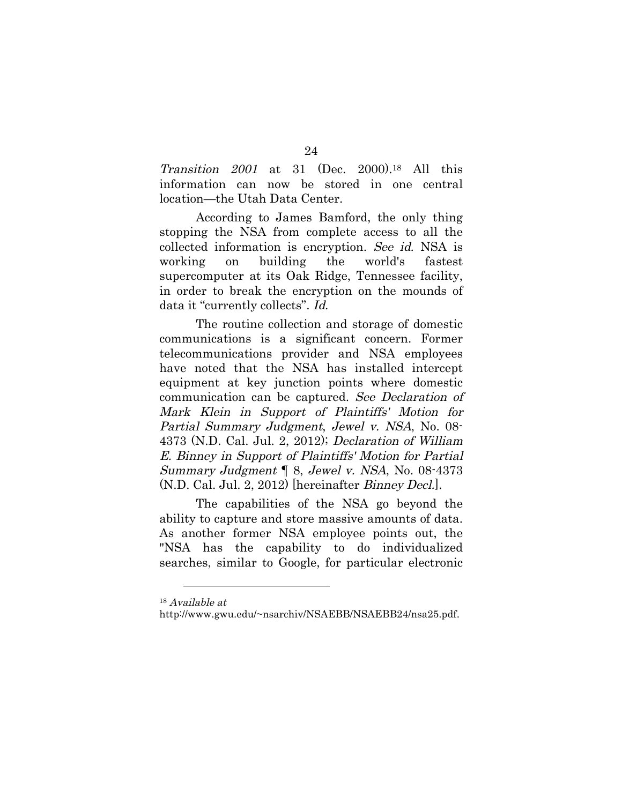Transition 2001 at 31 (Dec. 2000).18 All this information can now be stored in one central location—the Utah Data Center.

According to James Bamford, the only thing stopping the NSA from complete access to all the collected information is encryption. See id. NSA is working on building the world's fastest supercomputer at its Oak Ridge, Tennessee facility, in order to break the encryption on the mounds of data it "currently collects". Id.

The routine collection and storage of domestic communications is a significant concern. Former telecommunications provider and NSA employees have noted that the NSA has installed intercept equipment at key junction points where domestic communication can be captured. See Declaration of Mark Klein in Support of Plaintiffs' Motion for Partial Summary Judgment, Jewel v. NSA, No. 08- 4373 (N.D. Cal. Jul. 2, 2012); Declaration of William E. Binney in Support of Plaintiffs' Motion for Partial Summary Judgment ¶ 8, Jewel v. NSA, No. 08-4373 (N.D. Cal. Jul. 2, 2012) [hereinafter Binney Decl.].

The capabilities of the NSA go beyond the ability to capture and store massive amounts of data. As another former NSA employee points out, the "NSA has the capability to do individualized searches, similar to Google, for particular electronic

<sup>18</sup> Available at

http://www.gwu.edu/~nsarchiv/NSAEBB/NSAEBB24/nsa25.pdf.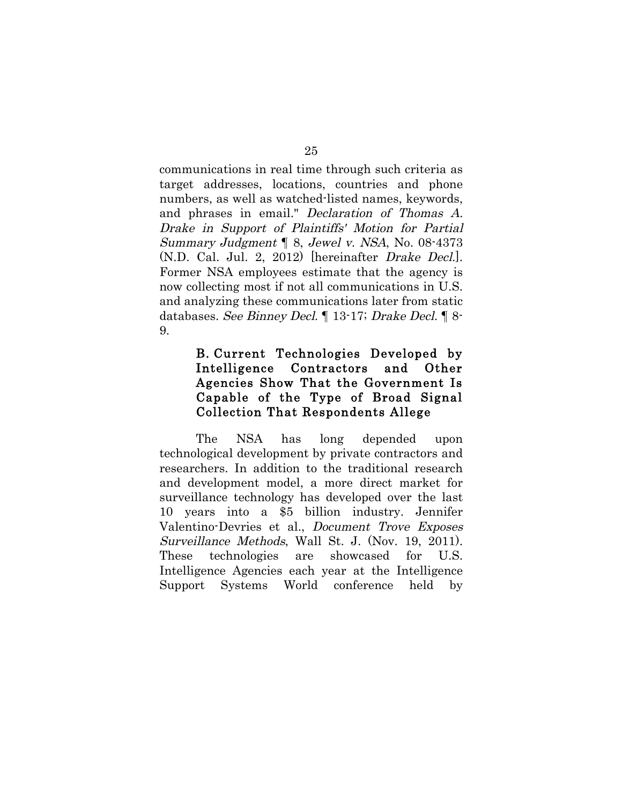communications in real time through such criteria as target addresses, locations, countries and phone numbers, as well as watched-listed names, keywords, and phrases in email." Declaration of Thomas A. Drake in Support of Plaintiffs' Motion for Partial Summary Judgment ¶ 8, Jewel v. NSA, No. 08-4373 (N.D. Cal. Jul. 2, 2012) [hereinafter Drake Decl.]. Former NSA employees estimate that the agency is now collecting most if not all communications in U.S. and analyzing these communications later from static databases. See Binney Decl. ¶ 13-17; Drake Decl. ¶ 8- 9.

## B. Current Technologies Developed by Intelligence Contractors and Other Agencies Show That the Government Is Capable of the Type of Broad Signal Collection That Respondents Allege

The NSA has long depended upon technological development by private contractors and researchers. In addition to the traditional research and development model, a more direct market for surveillance technology has developed over the last 10 years into a \$5 billion industry. Jennifer Valentino-Devries et al., Document Trove Exposes Surveillance Methods, Wall St. J. (Nov. 19, 2011). These technologies are showcased for U.S. Intelligence Agencies each year at the Intelligence Support Systems World conference held by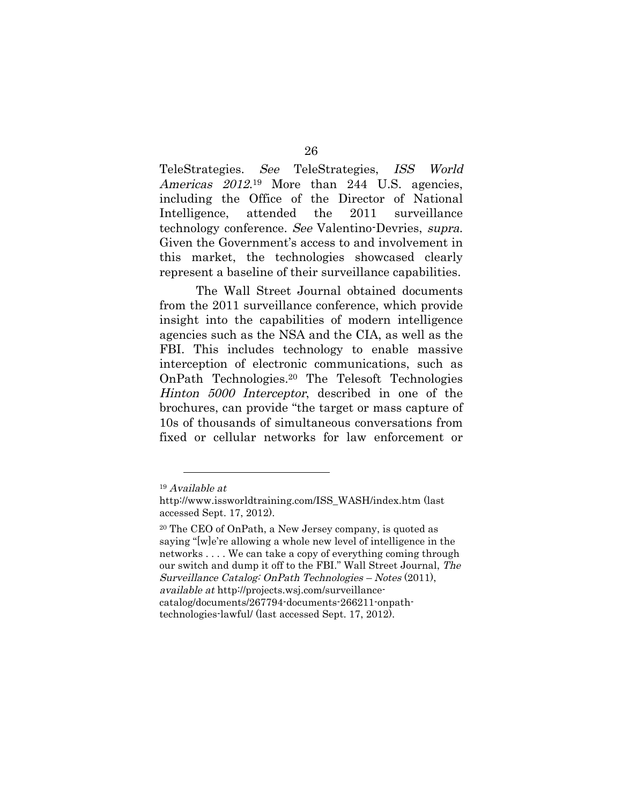TeleStrategies. See TeleStrategies, ISS World Americas 2012.<sup>19</sup> More than 244 U.S. agencies, including the Office of the Director of National Intelligence, attended the 2011 surveillance technology conference. See Valentino-Devries, supra. Given the Government's access to and involvement in this market, the technologies showcased clearly represent a baseline of their surveillance capabilities.

The Wall Street Journal obtained documents from the 2011 surveillance conference, which provide insight into the capabilities of modern intelligence agencies such as the NSA and the CIA, as well as the FBI. This includes technology to enable massive interception of electronic communications, such as OnPath Technologies.20 The Telesoft Technologies Hinton 5000 Interceptor, described in one of the brochures, can provide "the target or mass capture of 10s of thousands of simultaneous conversations from fixed or cellular networks for law enforcement or

<sup>19</sup> Available at

http://www.issworldtraining.com/ISS\_WASH/index.htm (last accessed Sept. 17, 2012).

<sup>20</sup> The CEO of OnPath, a New Jersey company, is quoted as saying "[w]e're allowing a whole new level of intelligence in the networks . . . . We can take a copy of everything coming through our switch and dump it off to the FBI." Wall Street Journal, The Surveillance Catalog: OnPath Technologies – Notes (2011), available at http://projects.wsj.com/surveillancecatalog/documents/267794-documents-266211-onpathtechnologies-lawful/ (last accessed Sept. 17, 2012).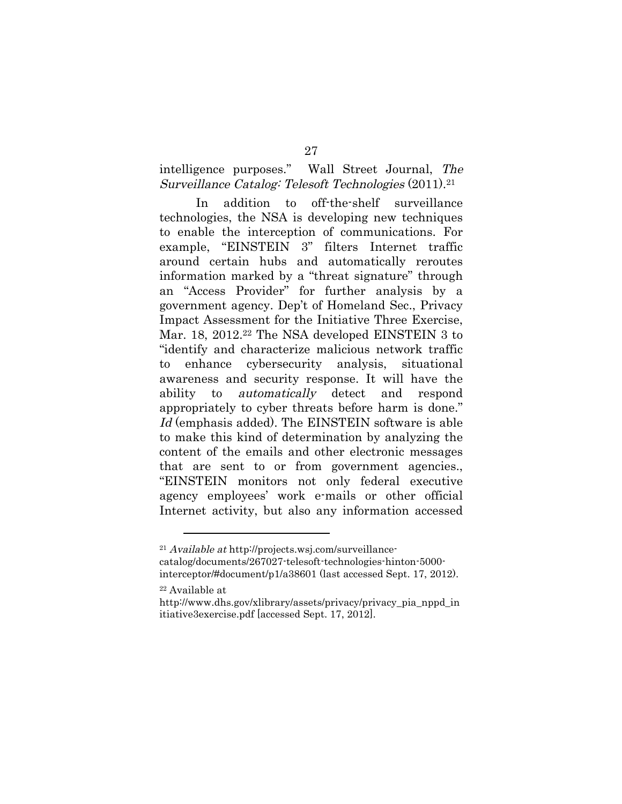intelligence purposes." Wall Street Journal, The Surveillance Catalog: Telesoft Technologies (2011).21

In addition to off-the-shelf surveillance technologies, the NSA is developing new techniques to enable the interception of communications. For example, "EINSTEIN 3" filters Internet traffic around certain hubs and automatically reroutes information marked by a "threat signature" through an "Access Provider" for further analysis by a government agency. Dep't of Homeland Sec., Privacy Impact Assessment for the Initiative Three Exercise, Mar. 18, 2012.22 The NSA developed EINSTEIN 3 to "identify and characterize malicious network traffic to enhance cybersecurity analysis, situational awareness and security response. It will have the ability to automatically detect and respond appropriately to cyber threats before harm is done." Id (emphasis added). The EINSTEIN software is able to make this kind of determination by analyzing the content of the emails and other electronic messages that are sent to or from government agencies., "EINSTEIN monitors not only federal executive agency employees' work e-mails or other official Internet activity, but also any information accessed

<sup>21</sup> Available at http://projects.wsj.com/surveillancecatalog/documents/267027-telesoft-technologies-hinton-5000 interceptor/#document/p1/a38601 (last accessed Sept. 17, 2012).

<sup>22</sup> Available at

http://www.dhs.gov/xlibrary/assets/privacy/privacy\_pia\_nppd\_in itiative3exercise.pdf [accessed Sept. 17, 2012].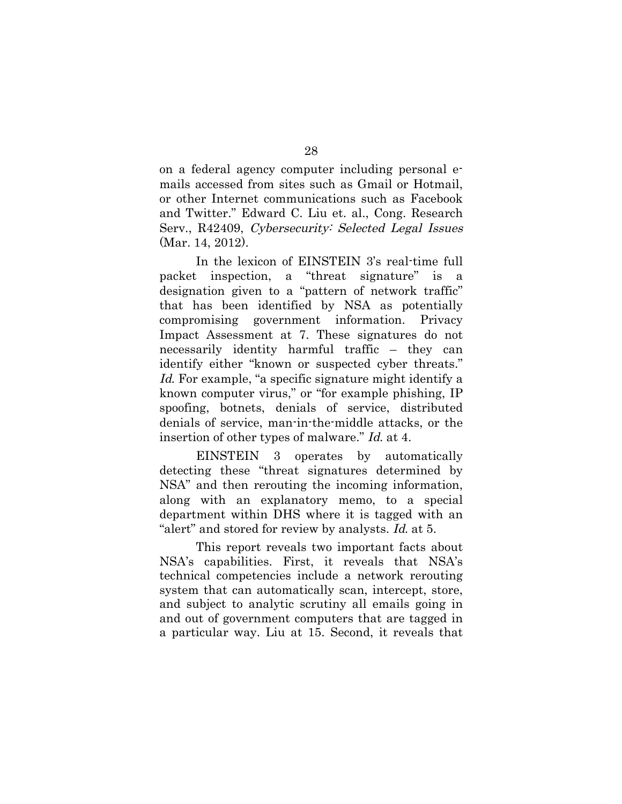on a federal agency computer including personal emails accessed from sites such as Gmail or Hotmail, or other Internet communications such as Facebook and Twitter." Edward C. Liu et. al., Cong. Research Serv., R42409, Cybersecurity: Selected Legal Issues (Mar. 14, 2012).

In the lexicon of EINSTEIN 3's real-time full packet inspection, a "threat signature" is a designation given to a "pattern of network traffic" that has been identified by NSA as potentially compromising government information. Privacy Impact Assessment at 7. These signatures do not necessarily identity harmful traffic – they can identify either "known or suspected cyber threats." Id. For example, "a specific signature might identify a known computer virus," or "for example phishing, IP spoofing, botnets, denials of service, distributed denials of service, man-in-the-middle attacks, or the insertion of other types of malware." Id. at 4.

EINSTEIN 3 operates by automatically detecting these "threat signatures determined by NSA" and then rerouting the incoming information, along with an explanatory memo, to a special department within DHS where it is tagged with an "alert" and stored for review by analysts. Id. at 5.

This report reveals two important facts about NSA's capabilities. First, it reveals that NSA's technical competencies include a network rerouting system that can automatically scan, intercept, store, and subject to analytic scrutiny all emails going in and out of government computers that are tagged in a particular way. Liu at 15. Second, it reveals that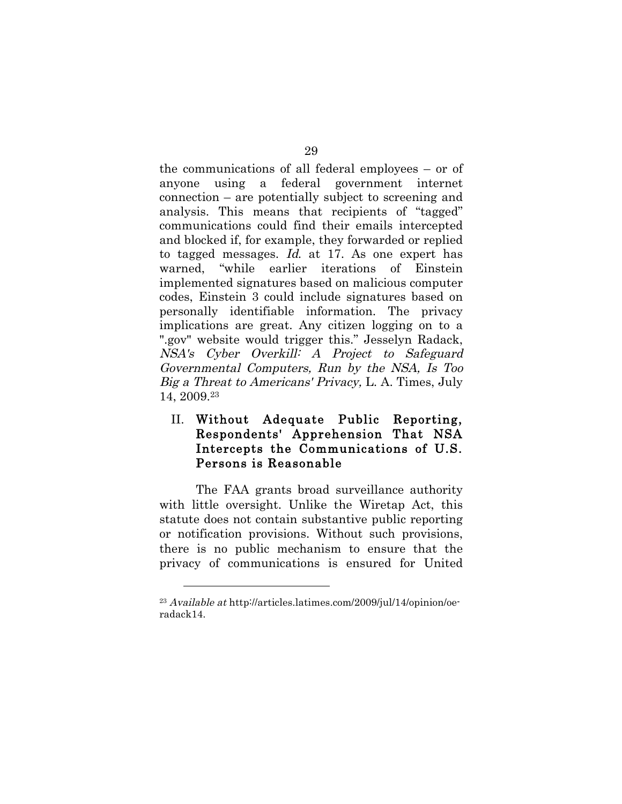the communications of all federal employees – or of anyone using a federal government internet connection – are potentially subject to screening and analysis. This means that recipients of "tagged" communications could find their emails intercepted and blocked if, for example, they forwarded or replied to tagged messages. Id. at 17. As one expert has warned, "while earlier iterations of Einstein implemented signatures based on malicious computer codes, Einstein 3 could include signatures based on personally identifiable information. The privacy implications are great. Any citizen logging on to a ".gov" website would trigger this." Jesselyn Radack, NSA's Cyber Overkill: A Project to Safeguard Governmental Computers, Run by the NSA, Is Too Big a Threat to Americans' Privacy, L. A. Times, July 14, 2009.23

## II. Without Adequate Public Reporting, Respondents' Apprehension That NSA Intercepts the Communications of U.S. Persons is Reasonable

The FAA grants broad surveillance authority with little oversight. Unlike the Wiretap Act, this statute does not contain substantive public reporting or notification provisions. Without such provisions, there is no public mechanism to ensure that the privacy of communications is ensured for United

<sup>23</sup> Available at http://articles.latimes.com/2009/jul/14/opinion/oeradack14.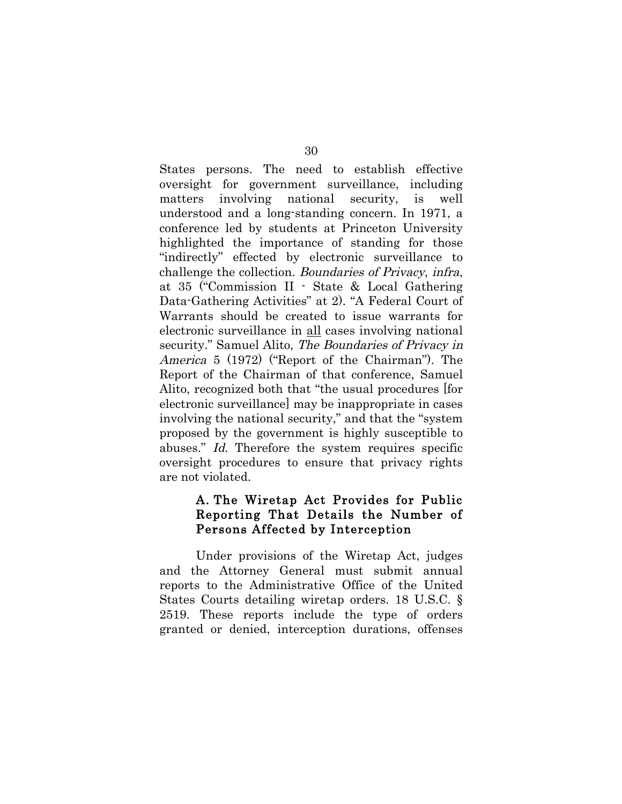States persons. The need to establish effective oversight for government surveillance, including matters involving national security, is well understood and a long-standing concern. In 1971, a conference led by students at Princeton University highlighted the importance of standing for those "indirectly" effected by electronic surveillance to challenge the collection. Boundaries of Privacy, infra, at 35 ("Commission II - State & Local Gathering Data-Gathering Activities" at 2). "A Federal Court of Warrants should be created to issue warrants for electronic surveillance in all cases involving national security." Samuel Alito, The Boundaries of Privacy in America 5 (1972) ("Report of the Chairman"). The Report of the Chairman of that conference, Samuel Alito, recognized both that "the usual procedures [for electronic surveillance] may be inappropriate in cases involving the national security," and that the "system proposed by the government is highly susceptible to abuses." Id. Therefore the system requires specific oversight procedures to ensure that privacy rights are not violated.

## A. The Wiretap Act Provides for Public Reporting That Details the Number of Persons Affected by Interception

Under provisions of the Wiretap Act, judges and the Attorney General must submit annual reports to the Administrative Office of the United States Courts detailing wiretap orders. 18 U.S.C. § 2519. These reports include the type of orders granted or denied, interception durations, offenses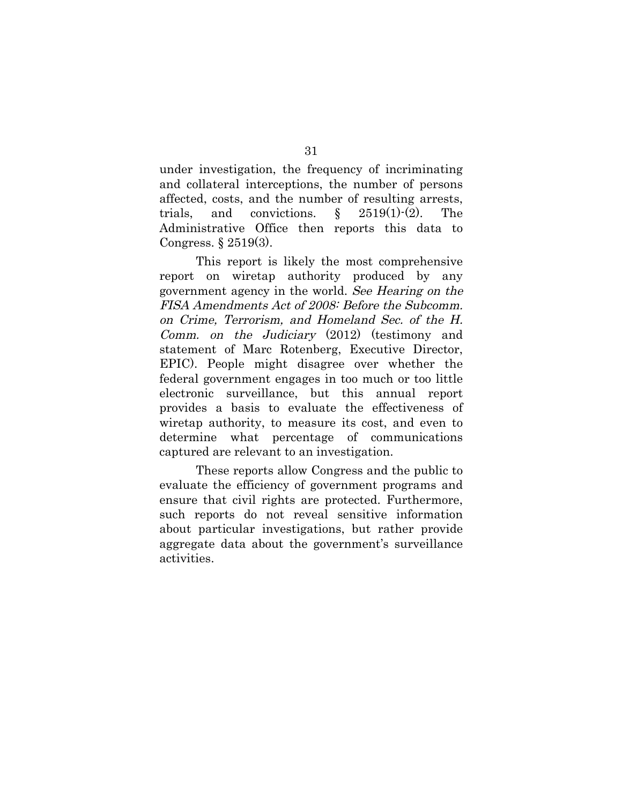under investigation, the frequency of incriminating and collateral interceptions, the number of persons affected, costs, and the number of resulting arrests, trials, and convictions.  $\S$  2519(1)-(2). The Administrative Office then reports this data to Congress. § 2519(3).

This report is likely the most comprehensive report on wiretap authority produced by any government agency in the world. See Hearing on the FISA Amendments Act of 2008: Before the Subcomm. on Crime, Terrorism, and Homeland Sec. of the H. Comm. on the Judiciary (2012) (testimony and statement of Marc Rotenberg, Executive Director, EPIC). People might disagree over whether the federal government engages in too much or too little electronic surveillance, but this annual report provides a basis to evaluate the effectiveness of wiretap authority, to measure its cost, and even to determine what percentage of communications captured are relevant to an investigation.

These reports allow Congress and the public to evaluate the efficiency of government programs and ensure that civil rights are protected. Furthermore, such reports do not reveal sensitive information about particular investigations, but rather provide aggregate data about the government's surveillance activities.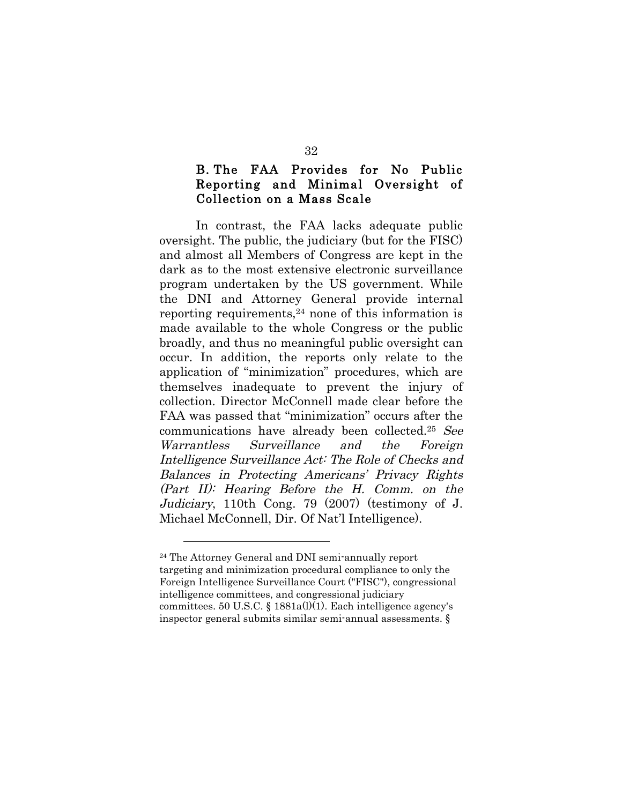## B. The FAA Provides for No Public Reporting and Minimal Oversight of Collection on a Mass Scale

In contrast, the FAA lacks adequate public oversight. The public, the judiciary (but for the FISC) and almost all Members of Congress are kept in the dark as to the most extensive electronic surveillance program undertaken by the US government. While the DNI and Attorney General provide internal reporting requirements,  $24$  none of this information is made available to the whole Congress or the public broadly, and thus no meaningful public oversight can occur. In addition, the reports only relate to the application of "minimization" procedures, which are themselves inadequate to prevent the injury of collection. Director McConnell made clear before the FAA was passed that "minimization" occurs after the communications have already been collected.25 See Warrantless Surveillance and the Foreign Intelligence Surveillance Act: The Role of Checks and Balances in Protecting Americans' Privacy Rights (Part II): Hearing Before the H. Comm. on the Judiciary, 110th Cong. 79 (2007) (testimony of J. Michael McConnell, Dir. Of Nat'l Intelligence).

<sup>24</sup> The Attorney General and DNI semi-annually report targeting and minimization procedural compliance to only the Foreign Intelligence Surveillance Court ("FISC"), congressional intelligence committees, and congressional judiciary committees. 50 U.S.C.  $\S$  1881a(l)(1). Each intelligence agency's inspector general submits similar semi-annual assessments. §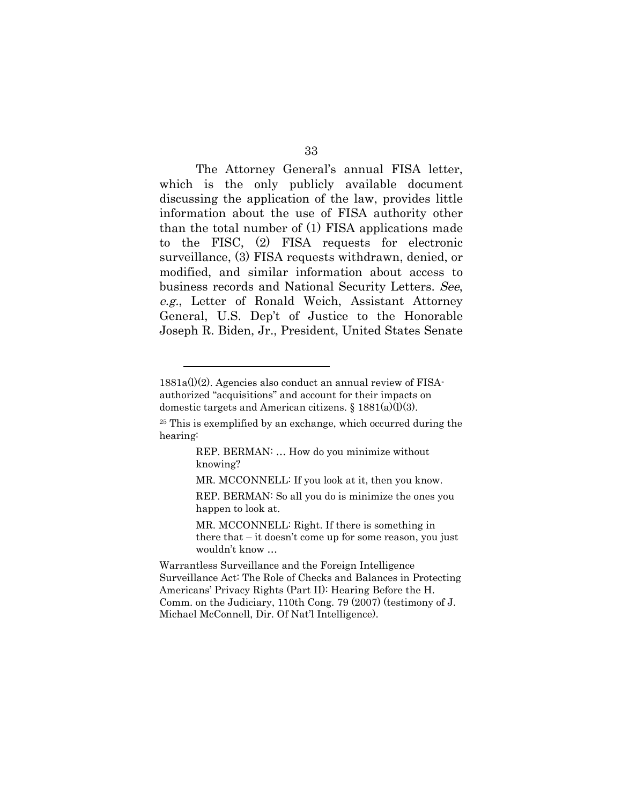The Attorney General's annual FISA letter, which is the only publicly available document discussing the application of the law, provides little information about the use of FISA authority other than the total number of (1) FISA applications made to the FISC, (2) FISA requests for electronic surveillance, (3) FISA requests withdrawn, denied, or modified, and similar information about access to business records and National Security Letters. See, e.g., Letter of Ronald Weich, Assistant Attorney General, U.S. Dep't of Justice to the Honorable Joseph R. Biden, Jr., President, United States Senate

 $\overline{a}$ 

REP. BERMAN: … How do you minimize without knowing?

MR. MCCONNELL: If you look at it, then you know.

REP. BERMAN: So all you do is minimize the ones you happen to look at.

MR. MCCONNELL: Right. If there is something in there that – it doesn't come up for some reason, you just wouldn't know …

Warrantless Surveillance and the Foreign Intelligence Surveillance Act: The Role of Checks and Balances in Protecting Americans' Privacy Rights (Part II): Hearing Before the H. Comm. on the Judiciary, 110th Cong. 79 (2007) (testimony of J. Michael McConnell, Dir. Of Nat'l Intelligence).

<sup>1881</sup>a(l)(2). Agencies also conduct an annual review of FISAauthorized "acquisitions" and account for their impacts on domestic targets and American citizens.  $\S$  1881(a)(l)(3).

<sup>25</sup> This is exemplified by an exchange, which occurred during the hearing: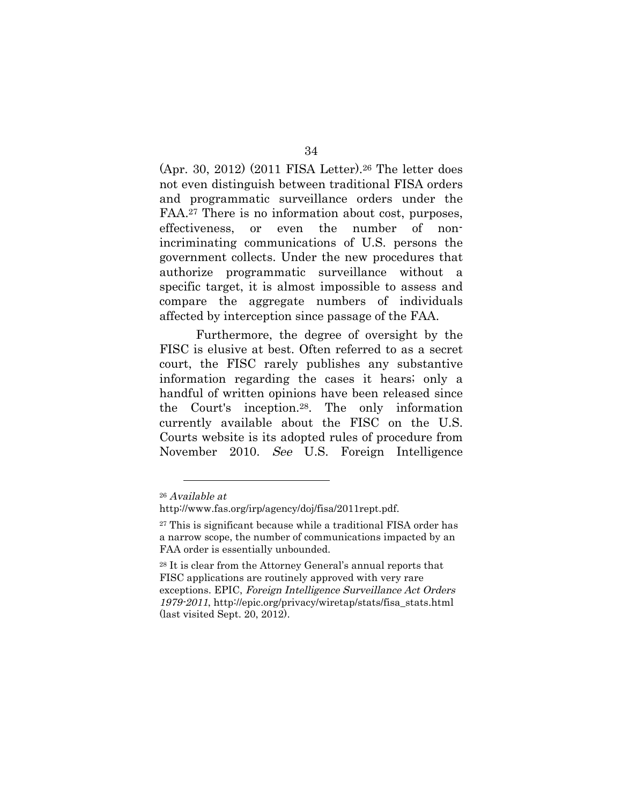(Apr. 30, 2012) (2011 FISA Letter).26 The letter does not even distinguish between traditional FISA orders and programmatic surveillance orders under the FAA.27 There is no information about cost, purposes, effectiveness, or even the number of nonincriminating communications of U.S. persons the government collects. Under the new procedures that authorize programmatic surveillance without a specific target, it is almost impossible to assess and compare the aggregate numbers of individuals affected by interception since passage of the FAA.

Furthermore, the degree of oversight by the FISC is elusive at best. Often referred to as a secret court, the FISC rarely publishes any substantive information regarding the cases it hears; only a handful of written opinions have been released since the Court's inception.28. The only information currently available about the FISC on the U.S. Courts website is its adopted rules of procedure from November 2010. See U.S. Foreign Intelligence

<sup>26</sup> Available at

http://www.fas.org/irp/agency/doj/fisa/2011rept.pdf.

<sup>27</sup> This is significant because while a traditional FISA order has a narrow scope, the number of communications impacted by an FAA order is essentially unbounded.

<sup>28</sup> It is clear from the Attorney General's annual reports that FISC applications are routinely approved with very rare exceptions. EPIC, Foreign Intelligence Surveillance Act Orders 1979-2011, http://epic.org/privacy/wiretap/stats/fisa\_stats.html (last visited Sept. 20, 2012).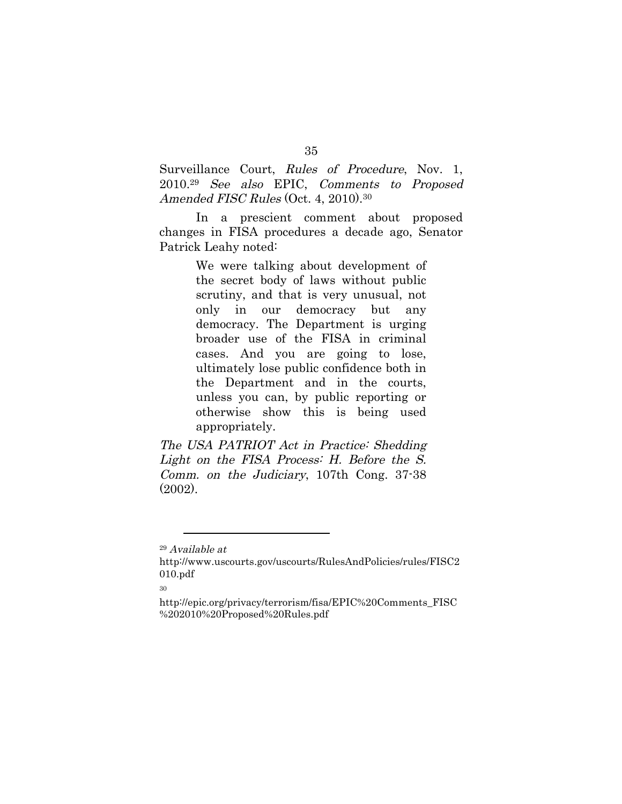Surveillance Court, Rules of Procedure, Nov. 1, 2010.29 See also EPIC, Comments to Proposed Amended FISC Rules (Oct. 4, 2010).<sup>30</sup>

In a prescient comment about proposed changes in FISA procedures a decade ago, Senator Patrick Leahy noted:

> We were talking about development of the secret body of laws without public scrutiny, and that is very unusual, not only in our democracy but any democracy. The Department is urging broader use of the FISA in criminal cases. And you are going to lose, ultimately lose public confidence both in the Department and in the courts, unless you can, by public reporting or otherwise show this is being used appropriately.

The USA PATRIOT Act in Practice: Shedding Light on the FISA Process: H. Before the S. Comm. on the Judiciary, 107th Cong. 37-38 (2002).

<sup>29</sup> Available at

http://www.uscourts.gov/uscourts/RulesAndPolicies/rules/FISC2 010.pdf

<sup>30</sup>

http://epic.org/privacy/terrorism/fisa/EPIC%20Comments\_FISC %202010%20Proposed%20Rules.pdf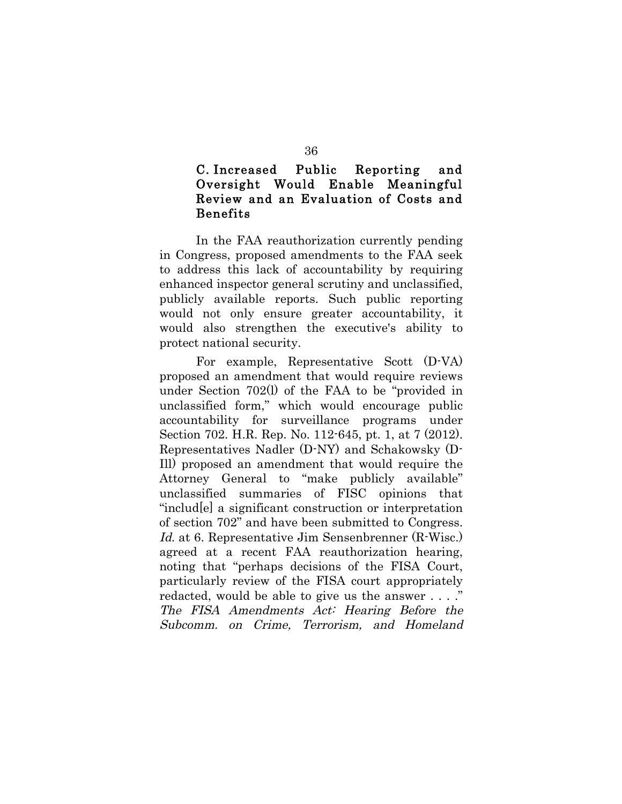## C. Increased Public Reporting and Oversight Would Enable Meaningful Review and an Evaluation of Costs and Benefits

In the FAA reauthorization currently pending in Congress, proposed amendments to the FAA seek to address this lack of accountability by requiring enhanced inspector general scrutiny and unclassified, publicly available reports. Such public reporting would not only ensure greater accountability, it would also strengthen the executive's ability to protect national security.

For example, Representative Scott (D-VA) proposed an amendment that would require reviews under Section 702(l) of the FAA to be "provided in unclassified form," which would encourage public accountability for surveillance programs under Section 702. H.R. Rep. No. 112-645, pt. 1, at 7 (2012). Representatives Nadler (D-NY) and Schakowsky (D-Ill) proposed an amendment that would require the Attorney General to "make publicly available" unclassified summaries of FISC opinions that "includ[e] a significant construction or interpretation of section 702" and have been submitted to Congress. Id. at 6. Representative Jim Sensenbrenner (R-Wisc.) agreed at a recent FAA reauthorization hearing, noting that "perhaps decisions of the FISA Court, particularly review of the FISA court appropriately redacted, would be able to give us the answer . . . ." The FISA Amendments Act: Hearing Before the Subcomm. on Crime, Terrorism, and Homeland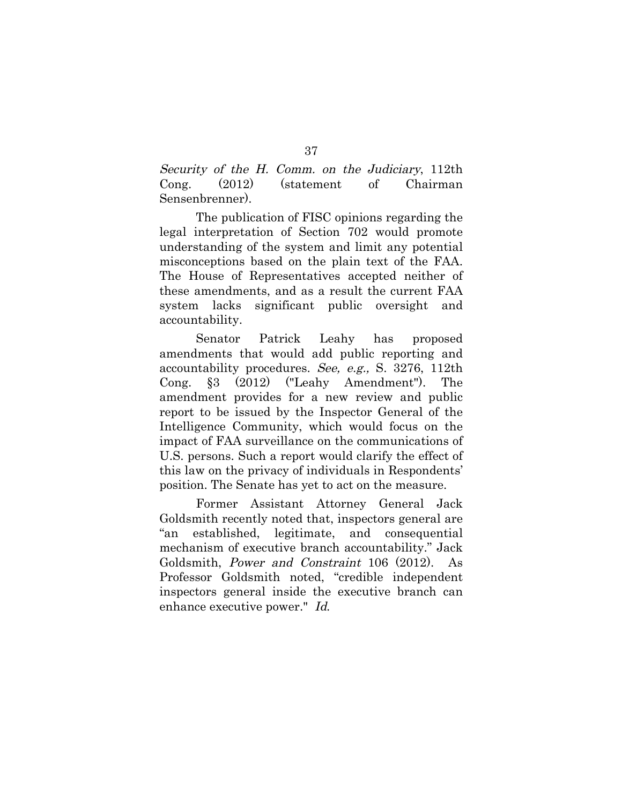Security of the H. Comm. on the Judiciary, 112th Cong. (2012) (statement of Chairman Sensenbrenner).

The publication of FISC opinions regarding the legal interpretation of Section 702 would promote understanding of the system and limit any potential misconceptions based on the plain text of the FAA. The House of Representatives accepted neither of these amendments, and as a result the current FAA system lacks significant public oversight and accountability.

Senator Patrick Leahy has proposed amendments that would add public reporting and accountability procedures. See, e.g., S. 3276, 112th Cong. §3 (2012) ("Leahy Amendment"). The amendment provides for a new review and public report to be issued by the Inspector General of the Intelligence Community, which would focus on the impact of FAA surveillance on the communications of U.S. persons. Such a report would clarify the effect of this law on the privacy of individuals in Respondents' position. The Senate has yet to act on the measure.

Former Assistant Attorney General Jack Goldsmith recently noted that, inspectors general are "an established, legitimate, and consequential mechanism of executive branch accountability." Jack Goldsmith, Power and Constraint 106 (2012). As Professor Goldsmith noted, "credible independent inspectors general inside the executive branch can enhance executive power." Id.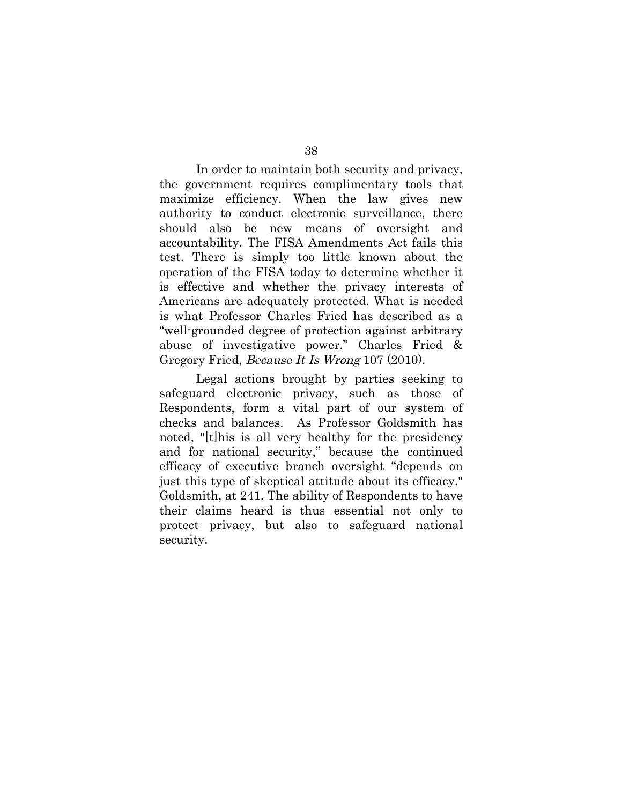In order to maintain both security and privacy, the government requires complimentary tools that maximize efficiency. When the law gives new authority to conduct electronic surveillance, there should also be new means of oversight and accountability. The FISA Amendments Act fails this test. There is simply too little known about the operation of the FISA today to determine whether it is effective and whether the privacy interests of Americans are adequately protected. What is needed is what Professor Charles Fried has described as a "well-grounded degree of protection against arbitrary abuse of investigative power." Charles Fried & Gregory Fried, Because It Is Wrong 107 (2010).

Legal actions brought by parties seeking to safeguard electronic privacy, such as those of Respondents, form a vital part of our system of checks and balances. As Professor Goldsmith has noted, "[t]his is all very healthy for the presidency and for national security," because the continued efficacy of executive branch oversight "depends on just this type of skeptical attitude about its efficacy." Goldsmith, at 241. The ability of Respondents to have their claims heard is thus essential not only to protect privacy, but also to safeguard national security.